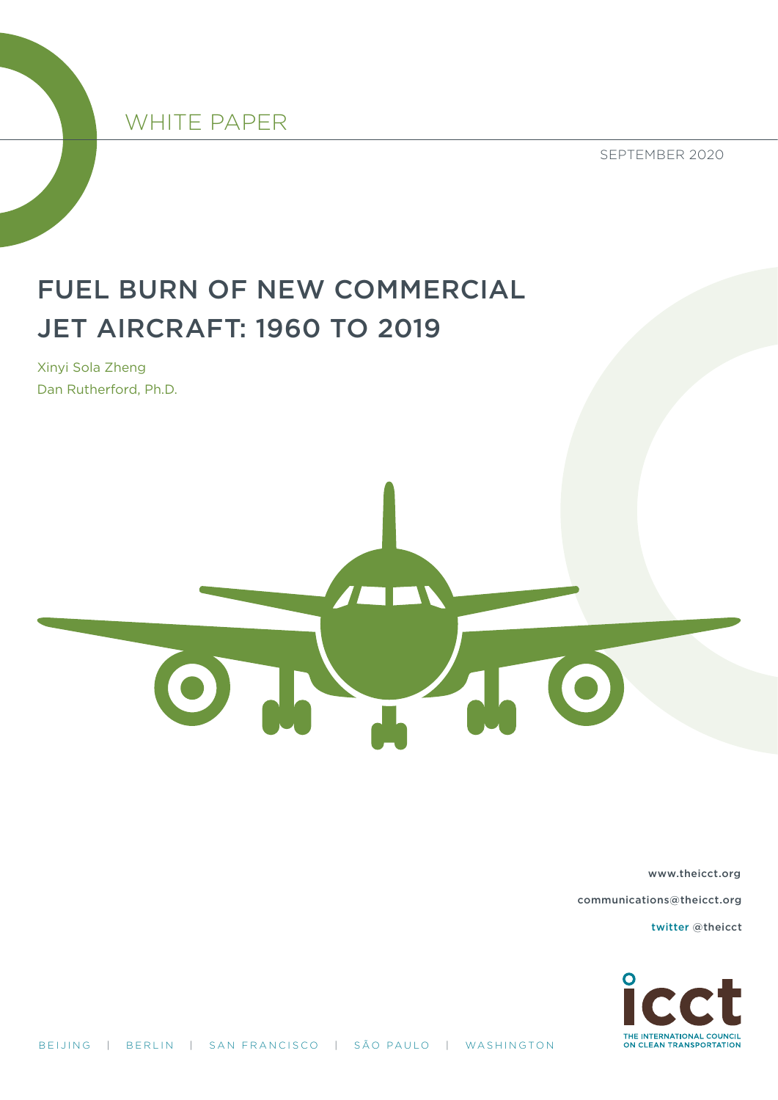

SEPTEMBER 2020

# FUEL BURN OF NEW COMMERCIAL JET AIRCRAFT: 1960 TO 2019

Xinyi Sola Zheng Dan Rutherford, Ph.D.



[www.theicct.org](http://www.theicct.org)

[communications@theicct.org](mailto:communications%40theicct.org%20%20%20%20?subject=) 

[twitter @theicct](https://twitter.com/TheICCT)

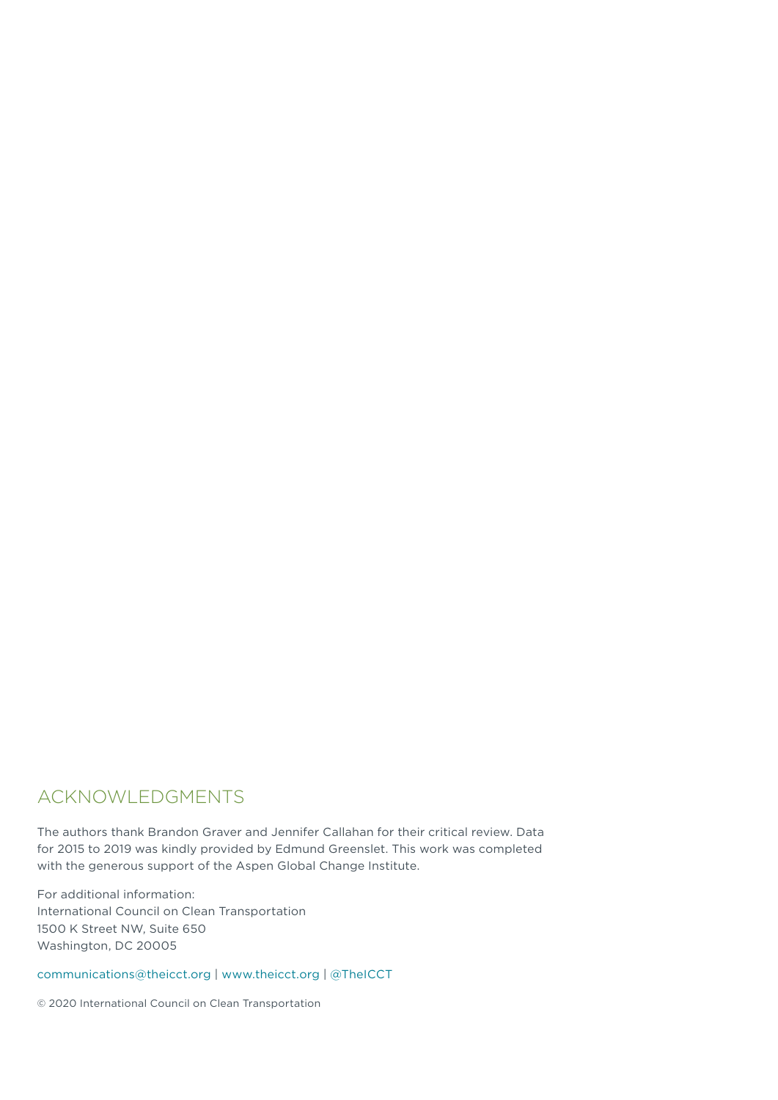### ACKNOWLEDGMENTS

The authors thank Brandon Graver and Jennifer Callahan for their critical review. Data for 2015 to 2019 was kindly provided by Edmund Greenslet. This work was completed with the generous support of the Aspen Global Change Institute.

For additional information: International Council on Clean Transportation 1500 K Street NW, Suite 650 Washington, DC 20005

[communications@theicct.org](mailto:communications%40theicct.org?subject=) | <www.theicct.org>| [@TheICCT](https://twitter.com/TheICCT)

© 2020 International Council on Clean Transportation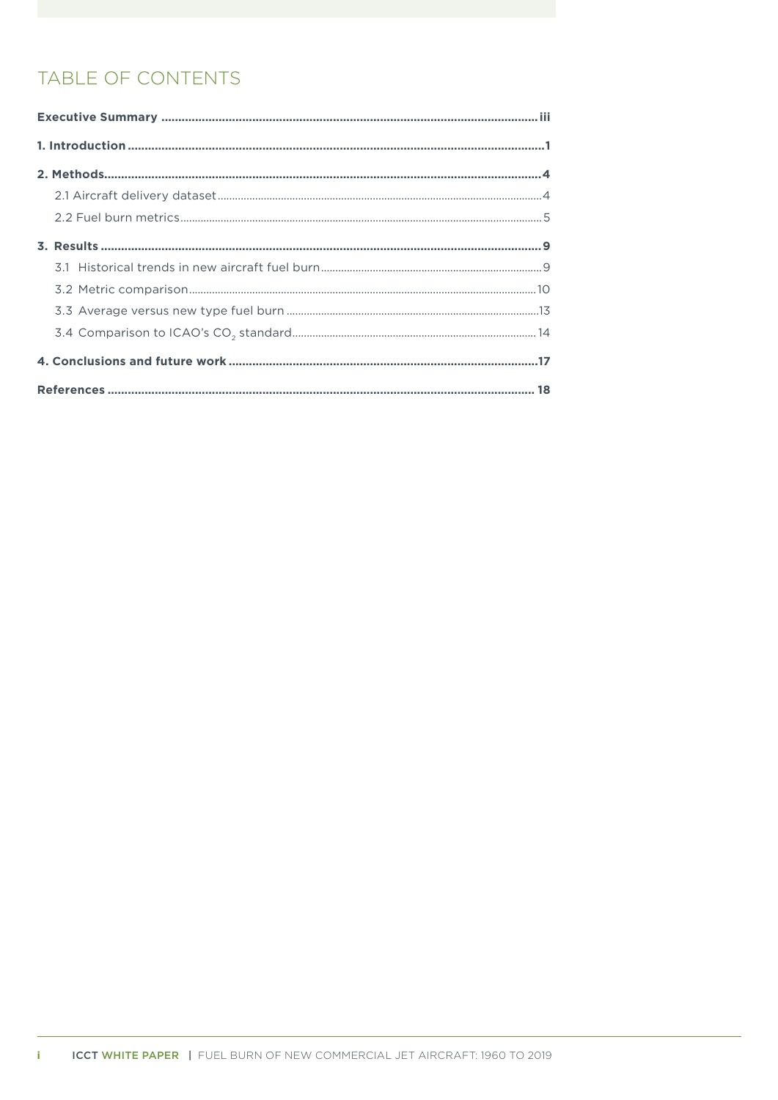# TABLE OF CONTENTS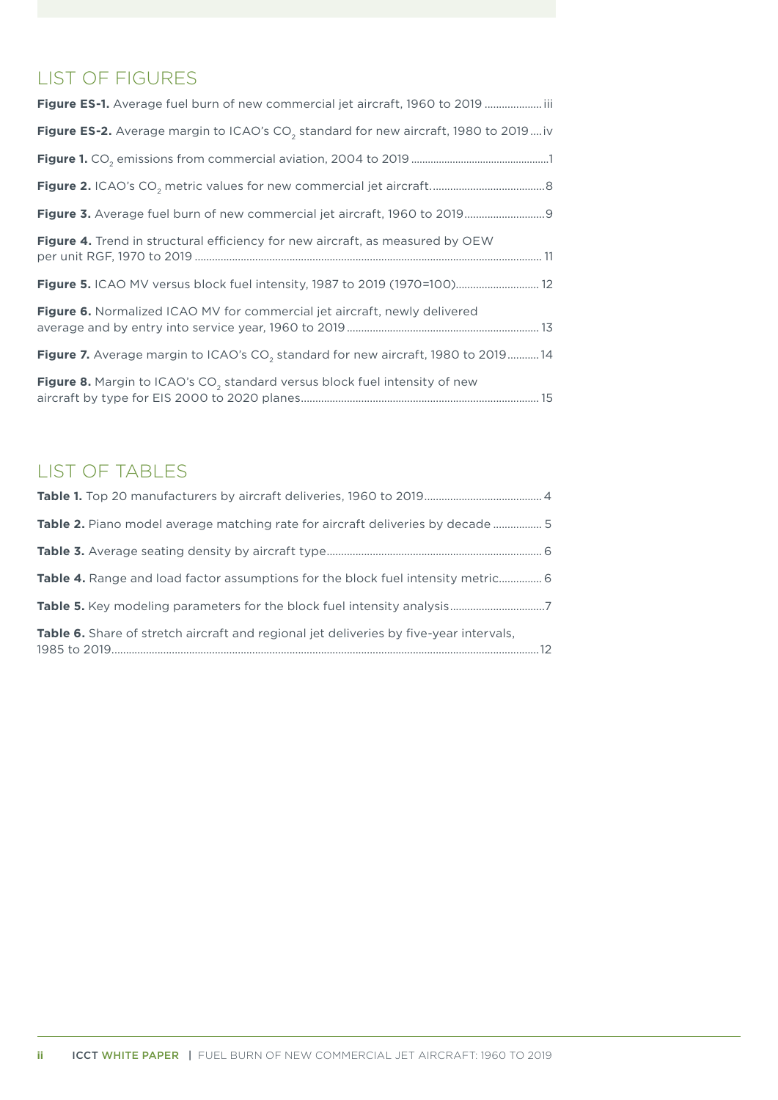# LIST OF FIGURES

| Figure ES-1. Average fuel burn of new commercial jet aircraft, 1960 to 2019 iii                 |
|-------------------------------------------------------------------------------------------------|
| Figure ES-2. Average margin to ICAO's CO <sub>2</sub> standard for new aircraft, 1980 to 2019iv |
|                                                                                                 |
|                                                                                                 |
| Figure 3. Average fuel burn of new commercial jet aircraft, 1960 to 2019 9                      |
| Figure 4. Trend in structural efficiency for new aircraft, as measured by OEW                   |
| Figure 5. ICAO MV versus block fuel intensity, 1987 to 2019 (1970=100) 12                       |
| <b>Figure 6.</b> Normalized ICAO MV for commercial jet aircraft, newly delivered                |
| Figure 7. Average margin to ICAO's CO <sub>2</sub> standard for new aircraft, 1980 to 2019 14   |
| Figure 8. Margin to ICAO's CO <sub>2</sub> standard versus block fuel intensity of new          |

# LIST OF TABLES

| Table 2. Piano model average matching rate for aircraft deliveries by decade  5               |  |
|-----------------------------------------------------------------------------------------------|--|
|                                                                                               |  |
| <b>Table 4.</b> Range and load factor assumptions for the block fuel intensity metric 6       |  |
|                                                                                               |  |
| <b>Table 6.</b> Share of stretch aircraft and regional jet deliveries by five-year intervals, |  |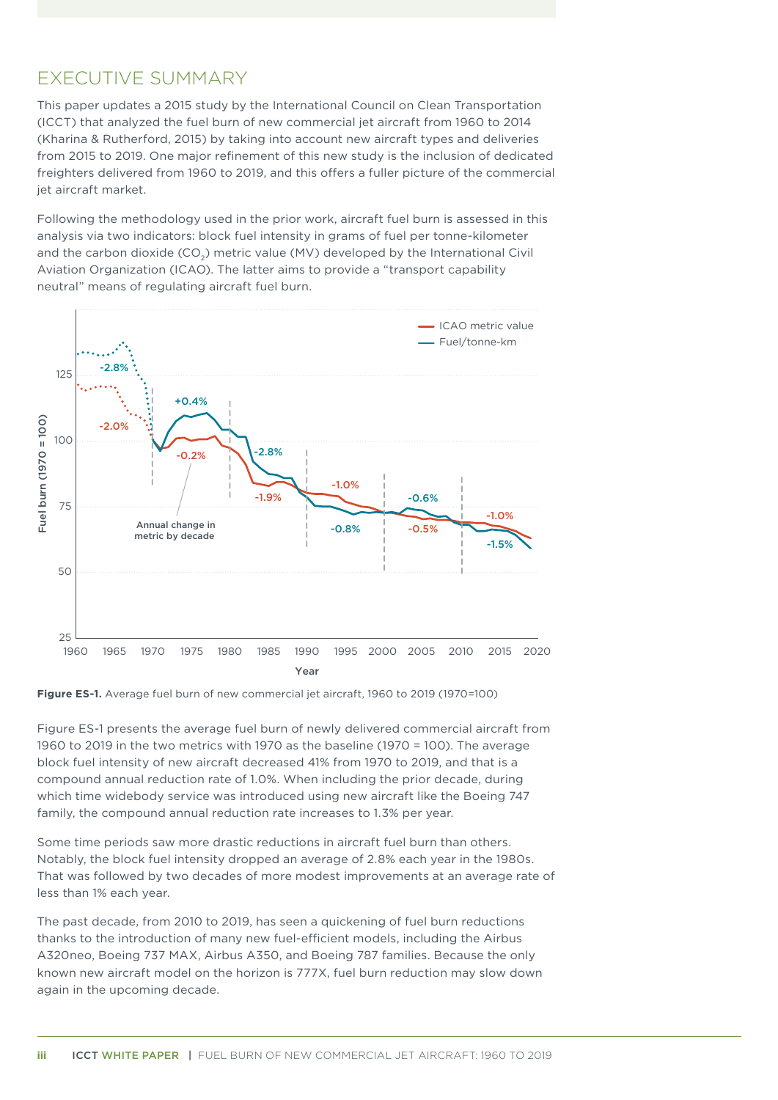### <span id="page-4-0"></span>EXECUTIVE SUMMARY

This paper updates a 2015 study by the International Council on Clean Transportation (ICCT) that analyzed the fuel burn of new commercial jet aircraft from 1960 to 2014 (Kharina & Rutherford, 2015) by taking into account new aircraft types and deliveries from 2015 to 2019. One major refinement of this new study is the inclusion of dedicated freighters delivered from 1960 to 2019, and this offers a fuller picture of the commercial jet aircraft market.

Following the methodology used in the prior work, aircraft fuel burn is assessed in this analysis via two indicators: block fuel intensity in grams of fuel per tonne-kilometer and the carbon dioxide (CO<sub>2</sub>) metric value (MV) developed by the International Civil Aviation Organization (ICAO). The latter aims to provide a "transport capability neutral" means of regulating aircraft fuel burn.



**Figure ES-1.** Average fuel burn of new commercial jet aircraft, 1960 to 2019 (1970=100)

Figure ES-1 presents the average fuel burn of newly delivered commercial aircraft from 1960 to 2019 in the two metrics with 1970 as the baseline (1970 = 100). The average block fuel intensity of new aircraft decreased 41% from 1970 to 2019, and that is a compound annual reduction rate of 1.0%. When including the prior decade, during which time widebody service was introduced using new aircraft like the Boeing 747 family, the compound annual reduction rate increases to 1.3% per year.

Some time periods saw more drastic reductions in aircraft fuel burn than others. Notably, the block fuel intensity dropped an average of 2.8% each year in the 1980s. That was followed by two decades of more modest improvements at an average rate of less than 1% each year.

The past decade, from 2010 to 2019, has seen a quickening of fuel burn reductions thanks to the introduction of many new fuel-efficient models, including the Airbus A320neo, Boeing 737 MAX, Airbus A350, and Boeing 787 families. Because the only known new aircraft model on the horizon is 777X, fuel burn reduction may slow down again in the upcoming decade.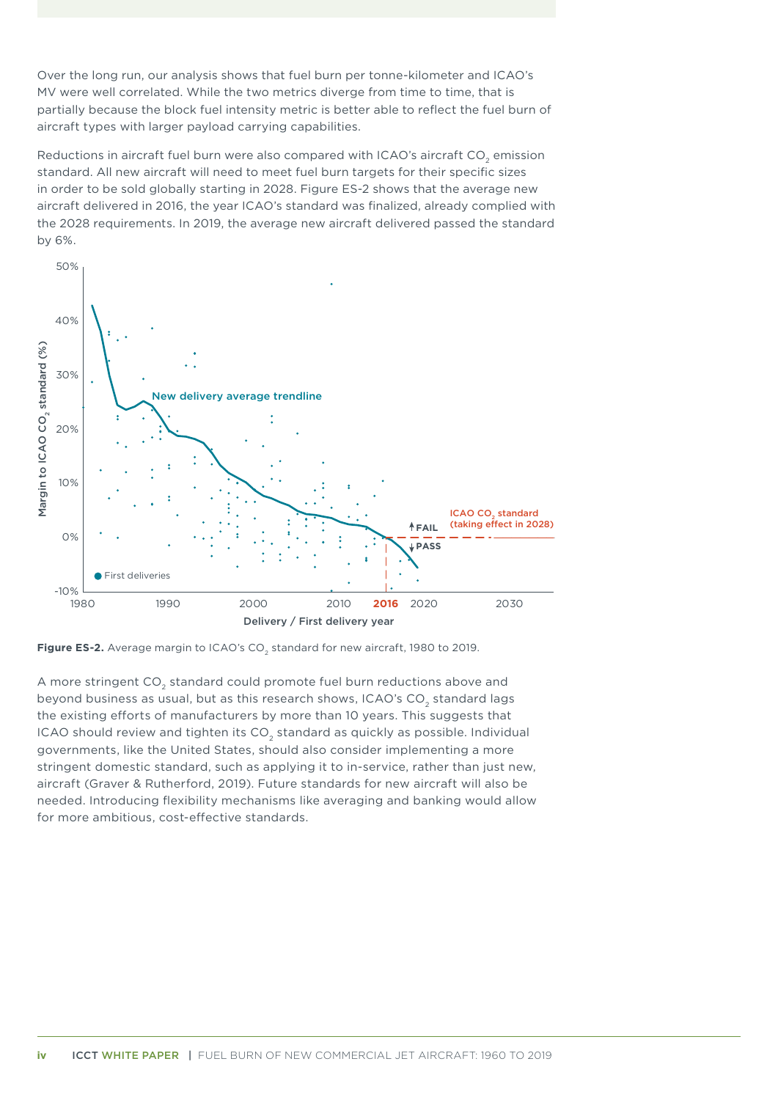<span id="page-5-0"></span>Over the long run, our analysis shows that fuel burn per tonne-kilometer and ICAO's MV were well correlated. While the two metrics diverge from time to time, that is partially because the block fuel intensity metric is better able to reflect the fuel burn of aircraft types with larger payload carrying capabilities.

Reductions in aircraft fuel burn were also compared with ICAO's aircraft CO<sub>2</sub> emission standard. All new aircraft will need to meet fuel burn targets for their specific sizes in order to be sold globally starting in 2028. Figure ES-2 shows that the average new aircraft delivered in 2016, the year ICAO's standard was finalized, already complied with the 2028 requirements. In 2019, the average new aircraft delivered passed the standard by 6%.



Figure ES-2. Average margin to ICAO's CO<sub>2</sub> standard for new aircraft, 1980 to 2019.

A more stringent CO<sub>2</sub> standard could promote fuel burn reductions above and beyond business as usual, but as this research shows, ICAO's CO<sub>2</sub> standard lags the existing efforts of manufacturers by more than 10 years. This suggests that ICAO should review and tighten its CO<sub>2</sub> standard as quickly as possible. Individual governments, like the United States, should also consider implementing a more stringent domestic standard, such as applying it to in-service, rather than just new, aircraft (Graver & Rutherford, 2019). Future standards for new aircraft will also be needed. Introducing flexibility mechanisms like averaging and banking would allow for more ambitious, cost-effective standards.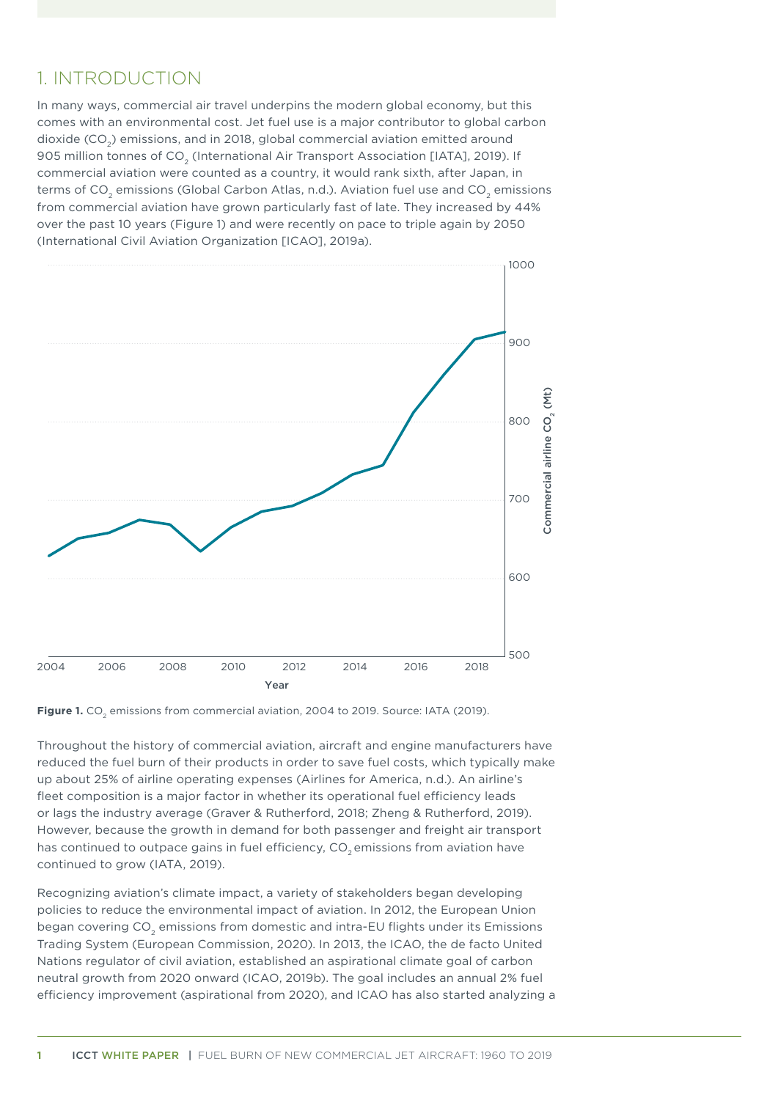## <span id="page-6-0"></span>1. INTRODUCTION

In many ways, commercial air travel underpins the modern global economy, but this comes with an environmental cost. Jet fuel use is a major contributor to global carbon dioxide (CO2) emissions, and in 2018, global commercial aviation emitted around 905 million tonnes of CO<sub>2</sub> (International Air Transport Association [IATA], 2019). If commercial aviation were counted as a country, it would rank sixth, after Japan, in terms of CO<sub>2</sub> emissions (Global Carbon Atlas, n.d.). Aviation fuel use and CO<sub>2</sub> emissions from commercial aviation have grown particularly fast of late. They increased by 44% over the past 10 years (Figure 1) and were recently on pace to triple again by 2050 (International Civil Aviation Organization [ICAO], 2019a).



Figure 1. CO<sub>2</sub> emissions from commercial aviation, 2004 to 2019. Source: IATA (2019).

Throughout the history of commercial aviation, aircraft and engine manufacturers have reduced the fuel burn of their products in order to save fuel costs, which typically make up about 25% of airline operating expenses (Airlines for America, n.d.). An airline's fleet composition is a major factor in whether its operational fuel efficiency leads or lags the industry average (Graver & Rutherford, 2018; Zheng & Rutherford, 2019). However, because the growth in demand for both passenger and freight air transport has continued to outpace gains in fuel efficiency, CO<sub>2</sub> emissions from aviation have continued to grow (IATA, 2019).

Recognizing aviation's climate impact, a variety of stakeholders began developing policies to reduce the environmental impact of aviation. In 2012, the European Union began covering CO<sub>2</sub> emissions from domestic and intra-EU flights under its Emissions Trading System (European Commission, 2020). In 2013, the ICAO, the de facto United Nations regulator of civil aviation, established an aspirational climate goal of carbon neutral growth from 2020 onward (ICAO, 2019b). The goal includes an annual 2% fuel efficiency improvement (aspirational from 2020), and ICAO has also started analyzing a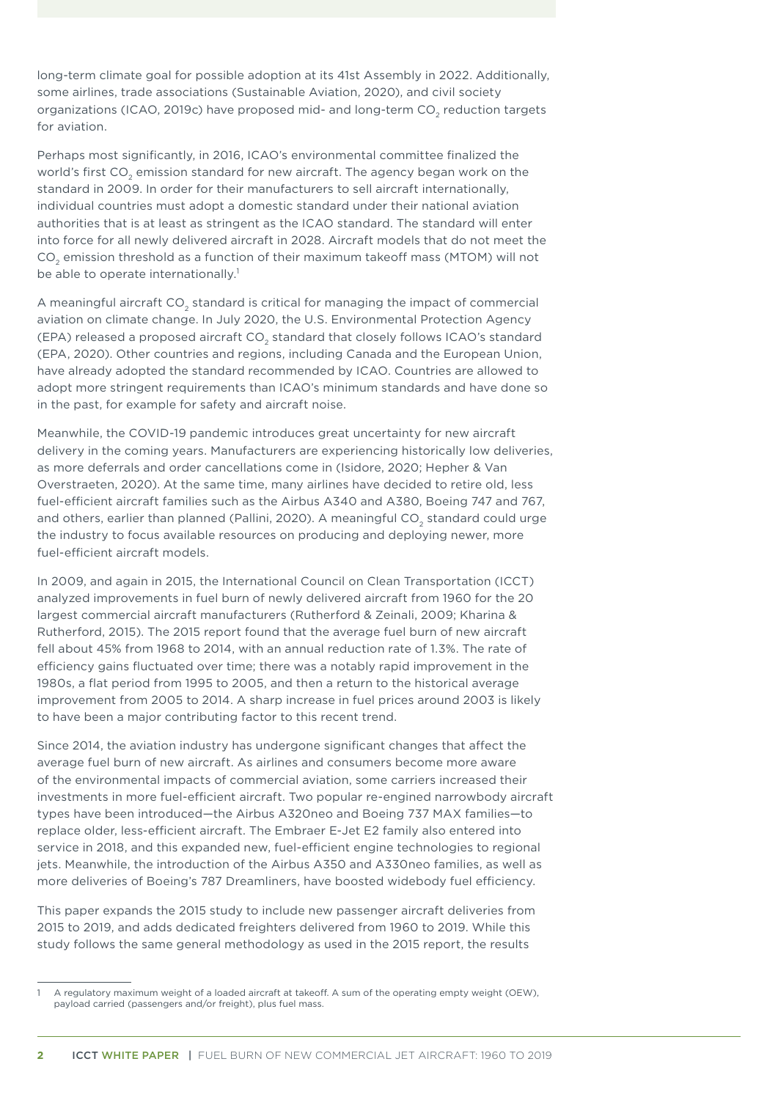long-term climate goal for possible adoption at its 41st Assembly in 2022. Additionally, some airlines, trade associations (Sustainable Aviation, 2020), and civil society organizations (ICAO, 2019c) have proposed mid- and long-term CO<sub>2</sub> reduction targets for aviation.

Perhaps most significantly, in 2016, ICAO's environmental committee finalized the world's first CO<sub>2</sub> emission standard for new aircraft. The agency began work on the standard in 2009. In order for their manufacturers to sell aircraft internationally, individual countries must adopt a domestic standard under their national aviation authorities that is at least as stringent as the ICAO standard. The standard will enter into force for all newly delivered aircraft in 2028. Aircraft models that do not meet the CO<sub>2</sub> emission threshold as a function of their maximum takeoff mass (MTOM) will not be able to operate internationally.<sup>1</sup>

A meaningful aircraft CO<sub>2</sub> standard is critical for managing the impact of commercial aviation on climate change. In July 2020, the U.S. Environmental Protection Agency (EPA) released a proposed aircraft CO<sub>2</sub> standard that closely follows ICAO's standard (EPA, 2020). Other countries and regions, including Canada and the European Union, have already adopted the standard recommended by ICAO. Countries are allowed to adopt more stringent requirements than ICAO's minimum standards and have done so in the past, for example for safety and aircraft noise.

Meanwhile, the COVID-19 pandemic introduces great uncertainty for new aircraft delivery in the coming years. Manufacturers are experiencing historically low deliveries, as more deferrals and order cancellations come in (Isidore, 2020; Hepher & Van Overstraeten, 2020). At the same time, many airlines have decided to retire old, less fuel-efficient aircraft families such as the Airbus A340 and A380, Boeing 747 and 767, and others, earlier than planned (Pallini, 2020). A meaningful CO<sub>2</sub> standard could urge the industry to focus available resources on producing and deploying newer, more fuel-efficient aircraft models.

In 2009, and again in 2015, the International Council on Clean Transportation (ICCT) analyzed improvements in fuel burn of newly delivered aircraft from 1960 for the 20 largest commercial aircraft manufacturers (Rutherford & Zeinali, 2009; Kharina & Rutherford, 2015). The 2015 report found that the average fuel burn of new aircraft fell about 45% from 1968 to 2014, with an annual reduction rate of 1.3%. The rate of efficiency gains fluctuated over time; there was a notably rapid improvement in the 1980s, a flat period from 1995 to 2005, and then a return to the historical average improvement from 2005 to 2014. A sharp increase in fuel prices around 2003 is likely to have been a major contributing factor to this recent trend.

Since 2014, the aviation industry has undergone significant changes that affect the average fuel burn of new aircraft. As airlines and consumers become more aware of the environmental impacts of commercial aviation, some carriers increased their investments in more fuel-efficient aircraft. Two popular re-engined narrowbody aircraft types have been introduced—the Airbus A320neo and Boeing 737 MAX families—to replace older, less-efficient aircraft. The Embraer E-Jet E2 family also entered into service in 2018, and this expanded new, fuel-efficient engine technologies to regional jets. Meanwhile, the introduction of the Airbus A350 and A330neo families, as well as more deliveries of Boeing's 787 Dreamliners, have boosted widebody fuel efficiency.

This paper expands the 2015 study to include new passenger aircraft deliveries from 2015 to 2019, and adds dedicated freighters delivered from 1960 to 2019. While this study follows the same general methodology as used in the 2015 report, the results

<sup>1</sup> A regulatory maximum weight of a loaded aircraft at takeoff. A sum of the operating empty weight (OEW), payload carried (passengers and/or freight), plus fuel mass.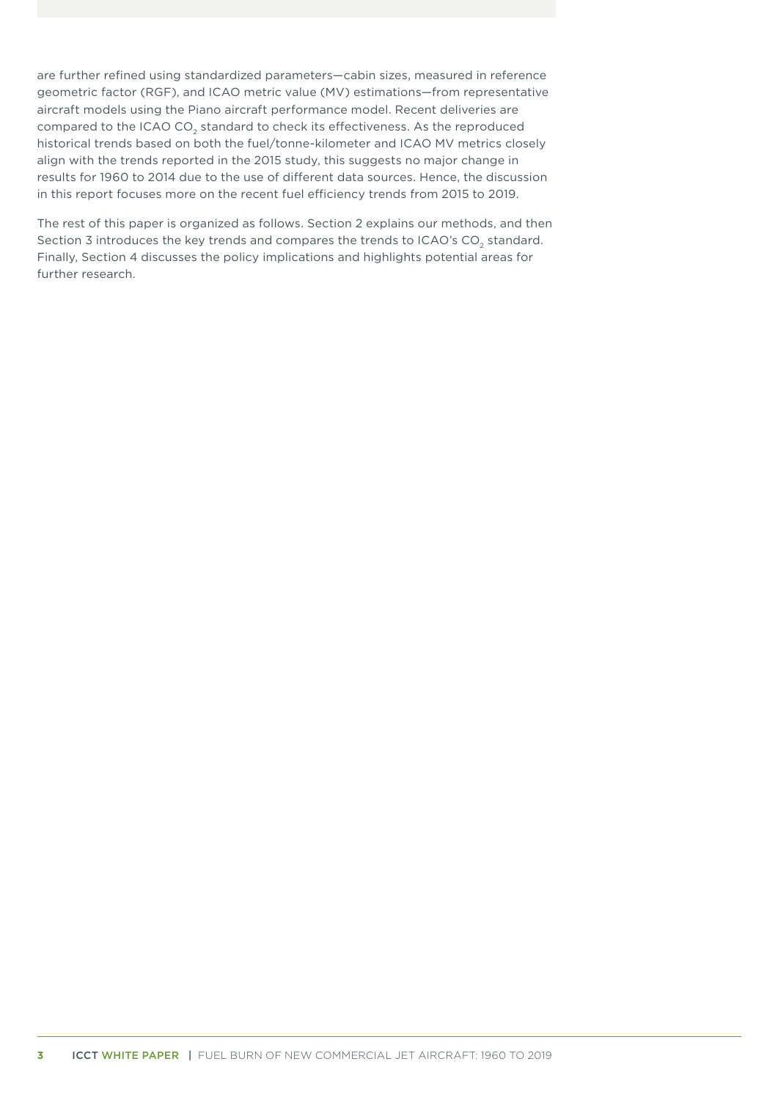are further refined using standardized parameters—cabin sizes, measured in reference geometric factor (RGF), and ICAO metric value (MV) estimations—from representative aircraft models using the Piano aircraft performance model. Recent deliveries are compared to the ICAO CO<sub>2</sub> standard to check its effectiveness. As the reproduced historical trends based on both the fuel/tonne-kilometer and ICAO MV metrics closely align with the trends reported in the 2015 study, this suggests no major change in results for 1960 to 2014 due to the use of different data sources. Hence, the discussion in this report focuses more on the recent fuel efficiency trends from 2015 to 2019.

The rest of this paper is organized as follows. Section 2 explains our methods, and then Section 3 introduces the key trends and compares the trends to ICAO's CO<sub>2</sub> standard. Finally, Section 4 discusses the policy implications and highlights potential areas for further research.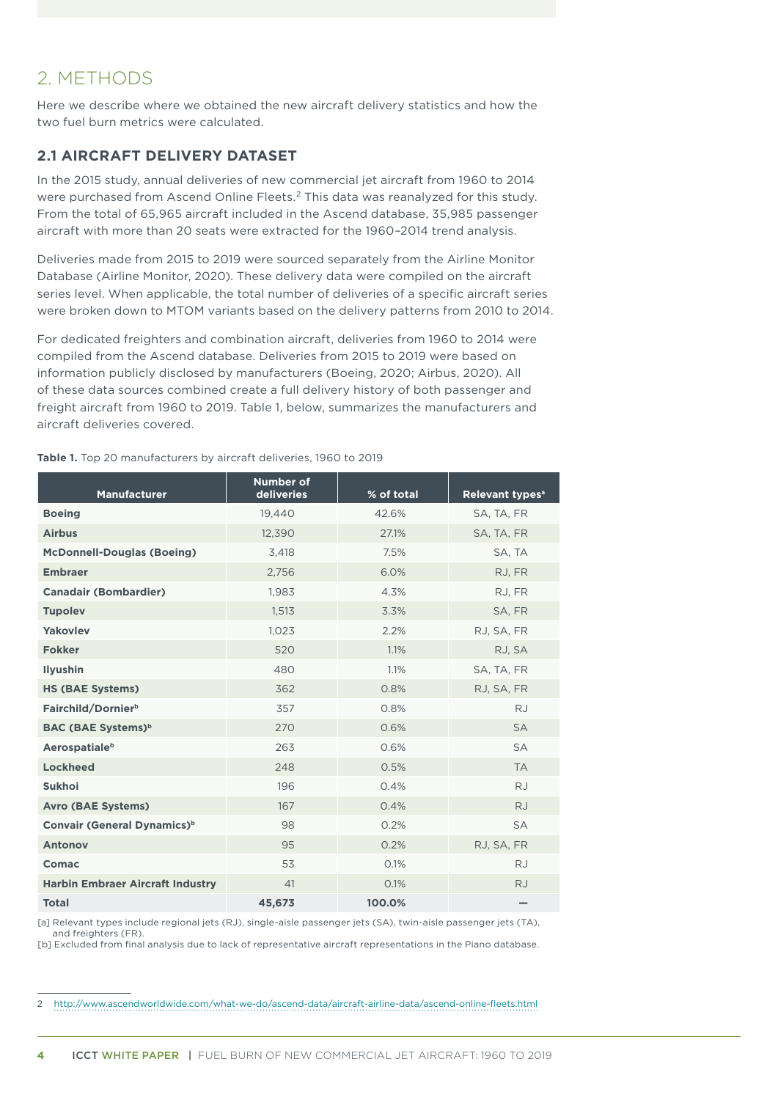# <span id="page-9-0"></span>2. METHODS

Here we describe where we obtained the new aircraft delivery statistics and how the two fuel burn metrics were calculated.

### **2.1 AIRCRAFT DELIVERY DATASET**

In the 2015 study, annual deliveries of new commercial jet aircraft from 1960 to 2014 were purchased from Ascend Online Fleets.2 This data was reanalyzed for this study. From the total of 65,965 aircraft included in the Ascend database, 35,985 passenger aircraft with more than 20 seats were extracted for the 1960–2014 trend analysis.

Deliveries made from 2015 to 2019 were sourced separately from the Airline Monitor Database (Airline Monitor, 2020). These delivery data were compiled on the aircraft series level. When applicable, the total number of deliveries of a specific aircraft series were broken down to MTOM variants based on the delivery patterns from 2010 to 2014.

For dedicated freighters and combination aircraft, deliveries from 1960 to 2014 were compiled from the Ascend database. Deliveries from 2015 to 2019 were based on information publicly disclosed by manufacturers (Boeing, 2020; Airbus, 2020). All of these data sources combined create a full delivery history of both passenger and freight aircraft from 1960 to 2019. Table 1, below, summarizes the manufacturers and aircraft deliveries covered.

**Table 1.** Top 20 manufacturers by aircraft deliveries, 1960 to 2019

| <b>Manufacturer</b>                     | <b>Number of</b><br>deliveries | % of total | Relevant types <sup>a</sup> |
|-----------------------------------------|--------------------------------|------------|-----------------------------|
| <b>Boeing</b>                           | 19.440                         | 42.6%      | SA, TA, FR                  |
| <b>Airbus</b>                           | 12,390                         | 27.1%      | SA, TA, FR                  |
| <b>McDonnell-Douglas (Boeing)</b>       | 3,418                          | 7.5%       | SA, TA                      |
| <b>Embraer</b>                          | 2,756                          | 6.0%       | RJ, FR                      |
| <b>Canadair (Bombardier)</b>            | 1,983                          | 4.3%       | RJ, FR                      |
| <b>Tupolev</b>                          | 1,513                          | 3.3%       | SA, FR                      |
| Yakovlev                                | 1,023                          | 2.2%       | RJ, SA, FR                  |
| <b>Fokker</b>                           | 520                            | 1.1%       | RJ, SA                      |
| <b>Ilyushin</b>                         | 480                            | 1.1%       | SA, TA, FR                  |
| <b>HS (BAE Systems)</b>                 | 362                            | 0.8%       | RJ, SA, FR                  |
| Fairchild/Dornier <sup>b</sup>          | 357                            | 0.8%       | <b>RJ</b>                   |
| <b>BAC (BAE Systems)</b> <sup>b</sup>   | 270                            | 0.6%       | <b>SA</b>                   |
| <b>Aerospatiale</b> <sup>b</sup>        | 263                            | 0.6%       | <b>SA</b>                   |
| <b>Lockheed</b>                         | 248                            | 0.5%       | <b>TA</b>                   |
| <b>Sukhoi</b>                           | 196                            | 0.4%       | <b>RJ</b>                   |
| <b>Avro (BAE Systems)</b>               | 167                            | 0.4%       | <b>RJ</b>                   |
| Convair (General Dynamics) <sup>b</sup> | 98                             | 0.2%       | <b>SA</b>                   |
| <b>Antonov</b>                          | 95                             | 0.2%       | RJ, SA, FR                  |
| Comac                                   | 53                             | 0.1%       | <b>RJ</b>                   |
| <b>Harbin Embraer Aircraft Industry</b> | 41                             | 0.1%       | <b>RJ</b>                   |
| <b>Total</b>                            | 45,673                         | 100.0%     |                             |

[a] Relevant types include regional jets (RJ), single-aisle passenger jets (SA), twin-aisle passenger jets (TA), and freighters (FR).

[b] Excluded from final analysis due to lack of representative aircraft representations in the Piano database.

2 http://www.ascendworldwide.com/what-we-do/ascend-data/aircraft-airline-data/ascend-online-fleets.html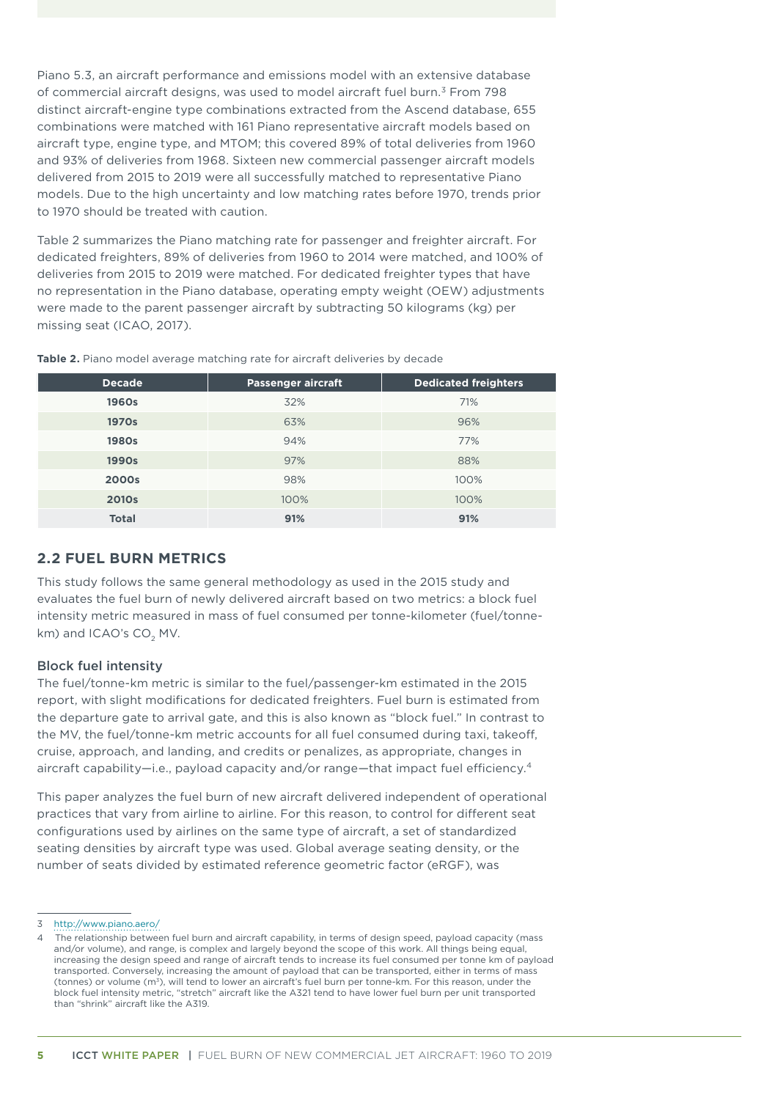<span id="page-10-0"></span>Piano 5.3, an aircraft performance and emissions model with an extensive database of commercial aircraft designs, was used to model aircraft fuel burn.3 From 798 distinct aircraft-engine type combinations extracted from the Ascend database, 655 combinations were matched with 161 Piano representative aircraft models based on aircraft type, engine type, and MTOM; this covered 89% of total deliveries from 1960 and 93% of deliveries from 1968. Sixteen new commercial passenger aircraft models delivered from 2015 to 2019 were all successfully matched to representative Piano models. Due to the high uncertainty and low matching rates before 1970, trends prior to 1970 should be treated with caution.

Table 2 summarizes the Piano matching rate for passenger and freighter aircraft. For dedicated freighters, 89% of deliveries from 1960 to 2014 were matched, and 100% of deliveries from 2015 to 2019 were matched. For dedicated freighter types that have no representation in the Piano database, operating empty weight (OEW) adjustments were made to the parent passenger aircraft by subtracting 50 kilograms (kg) per missing seat (ICAO, 2017).

| <b>Decade</b> | <b>Passenger aircraft</b> | <b>Dedicated freighters</b> |
|---------------|---------------------------|-----------------------------|
| 1960s         | 32%                       | 71%                         |
| <b>1970s</b>  | 63%                       | 96%                         |
| <b>1980s</b>  | 94%                       | 77%                         |
| 1990s         | 97%                       | 88%                         |
| 2000s         | 98%                       | 100%                        |
| <b>2010s</b>  | 100%                      | 100%                        |
| <b>Total</b>  | 91%                       | 91%                         |

**Table 2.** Piano model average matching rate for aircraft deliveries by decade

### **2.2 FUEL BURN METRICS**

This study follows the same general methodology as used in the 2015 study and evaluates the fuel burn of newly delivered aircraft based on two metrics: a block fuel intensity metric measured in mass of fuel consumed per tonne-kilometer (fuel/tonnekm) and ICAO's CO<sub>2</sub> MV.

#### Block fuel intensity

The fuel/tonne-km metric is similar to the fuel/passenger-km estimated in the 2015 report, with slight modifications for dedicated freighters. Fuel burn is estimated from the departure gate to arrival gate, and this is also known as "block fuel." In contrast to the MV, the fuel/tonne-km metric accounts for all fuel consumed during taxi, takeoff, cruise, approach, and landing, and credits or penalizes, as appropriate, changes in aircraft capability—i.e., payload capacity and/or range—that impact fuel efficiency.4

This paper analyzes the fuel burn of new aircraft delivered independent of operational practices that vary from airline to airline. For this reason, to control for different seat configurations used by airlines on the same type of aircraft, a set of standardized seating densities by aircraft type was used. Global average seating density, or the number of seats divided by estimated reference geometric factor (eRGF), was

<sup>3</sup> http://www.piano.aero/

The relationship between fuel burn and aircraft capability, in terms of design speed, payload capacity (mass and/or volume), and range, is complex and largely beyond the scope of this work. All things being equal, increasing the design speed and range of aircraft tends to increase its fuel consumed per tonne km of payload transported. Conversely, increasing the amount of payload that can be transported, either in terms of mass (tonnes) or volume (m<sup>3</sup>), will tend to lower an aircraft's fuel burn per tonne-km. For this reason, under the block fuel intensity metric, "stretch" aircraft like the A321 tend to have lower fuel burn per unit transported than "shrink" aircraft like the A319.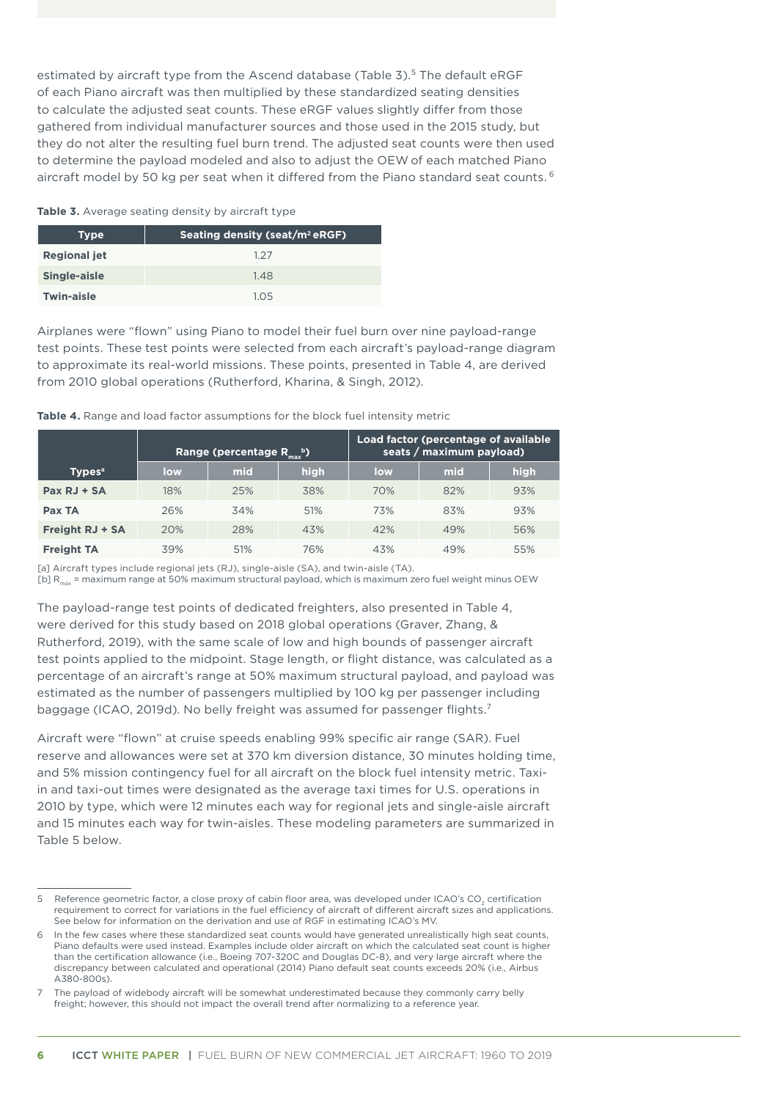<span id="page-11-0"></span>estimated by aircraft type from the Ascend database (Table 3).<sup>5</sup> The default eRGF of each Piano aircraft was then multiplied by these standardized seating densities to calculate the adjusted seat counts. These eRGF values slightly differ from those gathered from individual manufacturer sources and those used in the 2015 study, but they do not alter the resulting fuel burn trend. The adjusted seat counts were then used to determine the payload modeled and also to adjust the OEW of each matched Piano aircraft model by 50 kg per seat when it differed from the Piano standard seat counts.<sup>6</sup>

#### Table 3. Average seating density by aircraft type

| <b>Type</b>         | Seating density (seat/m <sup>2</sup> eRGF) |  |  |  |  |
|---------------------|--------------------------------------------|--|--|--|--|
| <b>Regional jet</b> | 1.27                                       |  |  |  |  |
| Single-aisle        | 1.48                                       |  |  |  |  |
| Twin-aisle          | 105                                        |  |  |  |  |

Airplanes were "flown" using Piano to model their fuel burn over nine payload-range test points. These test points were selected from each aircraft's payload-range diagram to approximate its real-world missions. These points, presented in Table 4, are derived from 2010 global operations (Rutherford, Kharina, & Singh, 2012).

**Table 4.** Range and load factor assumptions for the block fuel intensity metric

|                           |     | Range (percentage $R_{\text{max}}^{\text{b}}$ ) |      | Load factor (percentage of available<br>seats / maximum payload) |     |      |  |
|---------------------------|-----|-------------------------------------------------|------|------------------------------------------------------------------|-----|------|--|
| <b>Types</b> <sup>a</sup> | low | mid                                             | high | low                                                              | mid | high |  |
| $Pax RJ + SA$             | 18% | 25%                                             | 38%  | 70%                                                              | 82% | 93%  |  |
| Pax TA                    | 26% | 34%                                             | 51%  | 73%                                                              | 83% | 93%  |  |
| <b>Freight RJ + SA</b>    | 20% | 28%                                             | 43%  | 42%                                                              | 49% | 56%  |  |
| <b>Freight TA</b>         | 39% | 51%                                             | 76%  | 43%                                                              | 49% | 55%  |  |

[a] Aircraft types include regional jets (RJ), single-aisle (SA), and twin-aisle (TA).

[b] R<sub>max</sub> = maximum range at 50% maximum structural payload, which is maximum zero fuel weight minus OEW

The payload-range test points of dedicated freighters, also presented in Table 4, were derived for this study based on 2018 global operations (Graver, Zhang, & Rutherford, 2019), with the same scale of low and high bounds of passenger aircraft test points applied to the midpoint. Stage length, or flight distance, was calculated as a percentage of an aircraft's range at 50% maximum structural payload, and payload was estimated as the number of passengers multiplied by 100 kg per passenger including baggage (ICAO, 2019d). No belly freight was assumed for passenger flights.7

Aircraft were "flown" at cruise speeds enabling 99% specific air range (SAR). Fuel reserve and allowances were set at 370 km diversion distance, 30 minutes holding time, and 5% mission contingency fuel for all aircraft on the block fuel intensity metric. Taxiin and taxi-out times were designated as the average taxi times for U.S. operations in 2010 by type, which were 12 minutes each way for regional jets and single-aisle aircraft and 15 minutes each way for twin-aisles. These modeling parameters are summarized in Table 5 below.

<sup>5</sup> Reference geometric factor, a close proxy of cabin floor area, was developed under ICAO's CO<sub>2</sub> certification requirement to correct for variations in the fuel efficiency of aircraft of different aircraft sizes and applications. See below for information on the derivation and use of RGF in estimating ICAO's MV.

<sup>6</sup> In the few cases where these standardized seat counts would have generated unrealistically high seat counts, Piano defaults were used instead. Examples include older aircraft on which the calculated seat count is higher than the certification allowance (i.e., Boeing 707-320C and Douglas DC-8), and very large aircraft where the discrepancy between calculated and operational (2014) Piano default seat counts exceeds 20% (i.e., Airbus A380-800s).

<sup>7</sup> The payload of widebody aircraft will be somewhat underestimated because they commonly carry belly freight; however, this should not impact the overall trend after normalizing to a reference year.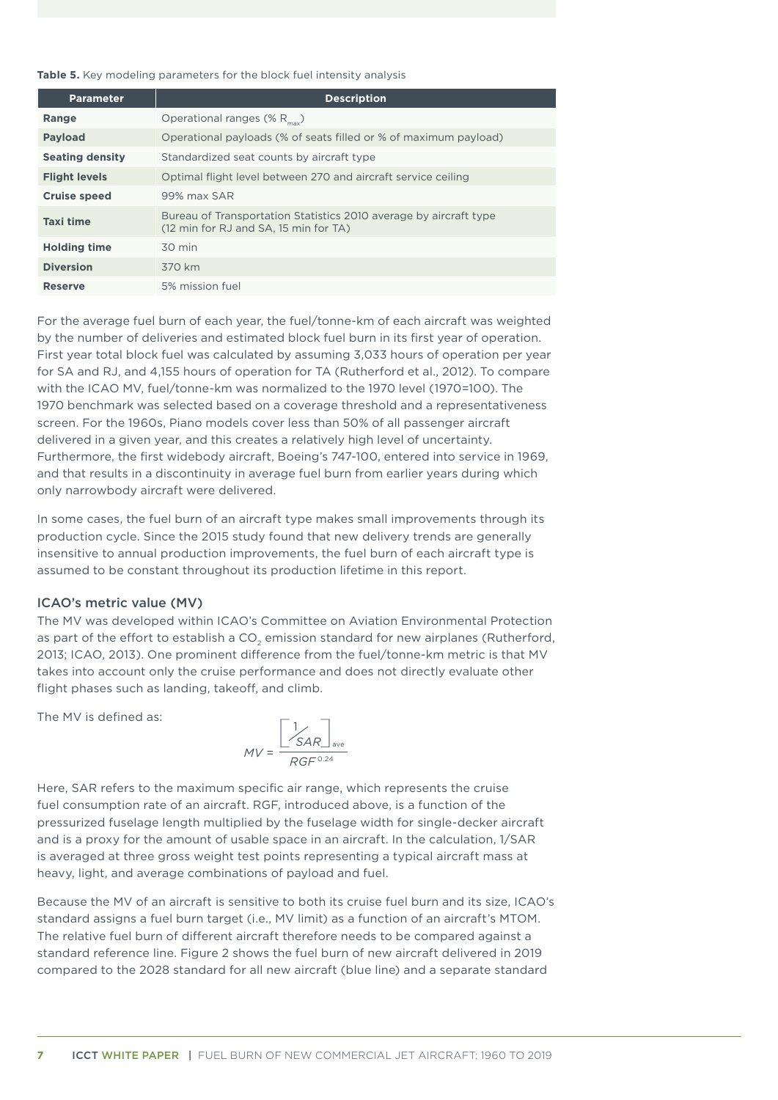<span id="page-12-0"></span>**Table 5.** Key modeling parameters for the block fuel intensity analysis

| <b>Parameter</b>       | <b>Description</b>                                                                                         |
|------------------------|------------------------------------------------------------------------------------------------------------|
| Range                  | Operational ranges (% $R_{\text{max}}$ )                                                                   |
| <b>Payload</b>         | Operational payloads (% of seats filled or % of maximum payload)                                           |
| <b>Seating density</b> | Standardized seat counts by aircraft type                                                                  |
| <b>Flight levels</b>   | Optimal flight level between 270 and aircraft service ceiling                                              |
| <b>Cruise speed</b>    | 99% max SAR                                                                                                |
| <b>Taxi time</b>       | Bureau of Transportation Statistics 2010 average by aircraft type<br>(12 min for RJ and SA, 15 min for TA) |
| <b>Holding time</b>    | $30 \text{ min}$                                                                                           |
| <b>Diversion</b>       | 370 km                                                                                                     |
| <b>Reserve</b>         | 5% mission fuel                                                                                            |

For the average fuel burn of each year, the fuel/tonne-km of each aircraft was weighted by the number of deliveries and estimated block fuel burn in its first year of operation. First year total block fuel was calculated by assuming 3,033 hours of operation per year for SA and RJ, and 4,155 hours of operation for TA (Rutherford et al., 2012). To compare with the ICAO MV, fuel/tonne-km was normalized to the 1970 level (1970=100). The 1970 benchmark was selected based on a coverage threshold and a representativeness screen. For the 1960s, Piano models cover less than 50% of all passenger aircraft delivered in a given year, and this creates a relatively high level of uncertainty. Furthermore, the first widebody aircraft, Boeing's 747-100, entered into service in 1969, and that results in a discontinuity in average fuel burn from earlier years during which only narrowbody aircraft were delivered.

In some cases, the fuel burn of an aircraft type makes small improvements through its production cycle. Since the 2015 study found that new delivery trends are generally insensitive to annual production improvements, the fuel burn of each aircraft type is assumed to be constant throughout its production lifetime in this report.

#### ICAO's metric value (MV)

The MV was developed within ICAO's Committee on Aviation Environmental Protection as part of the effort to establish a CO<sub>2</sub> emission standard for new airplanes (Rutherford, 2013; ICAO, 2013). One prominent difference from the fuel/tonne-km metric is that MV takes into account only the cruise performance and does not directly evaluate other flight phases such as landing, takeoff, and climb.

The MV is defined as:

$$
MV = \frac{\begin{bmatrix} 1 & 0 & 0 \\ SAR & 0 & 0 \\ \hline RGF^{0.24} & 0 & 0 \end{bmatrix}}{RT^{0.24}}
$$

Here, SAR refers to the maximum specific air range, which represents the cruise fuel consumption rate of an aircraft. RGF, introduced above, is a function of the pressurized fuselage length multiplied by the fuselage width for single-decker aircraft and is a proxy for the amount of usable space in an aircraft. In the calculation, 1/SAR is averaged at three gross weight test points representing a typical aircraft mass at heavy, light, and average combinations of payload and fuel.

Because the MV of an aircraft is sensitive to both its cruise fuel burn and its size, ICAO's standard assigns a fuel burn target (i.e., MV limit) as a function of an aircraft's MTOM. The relative fuel burn of different aircraft therefore needs to be compared against a standard reference line. Figure 2 shows the fuel burn of new aircraft delivered in 2019 compared to the 2028 standard for all new aircraft (blue line) and a separate standard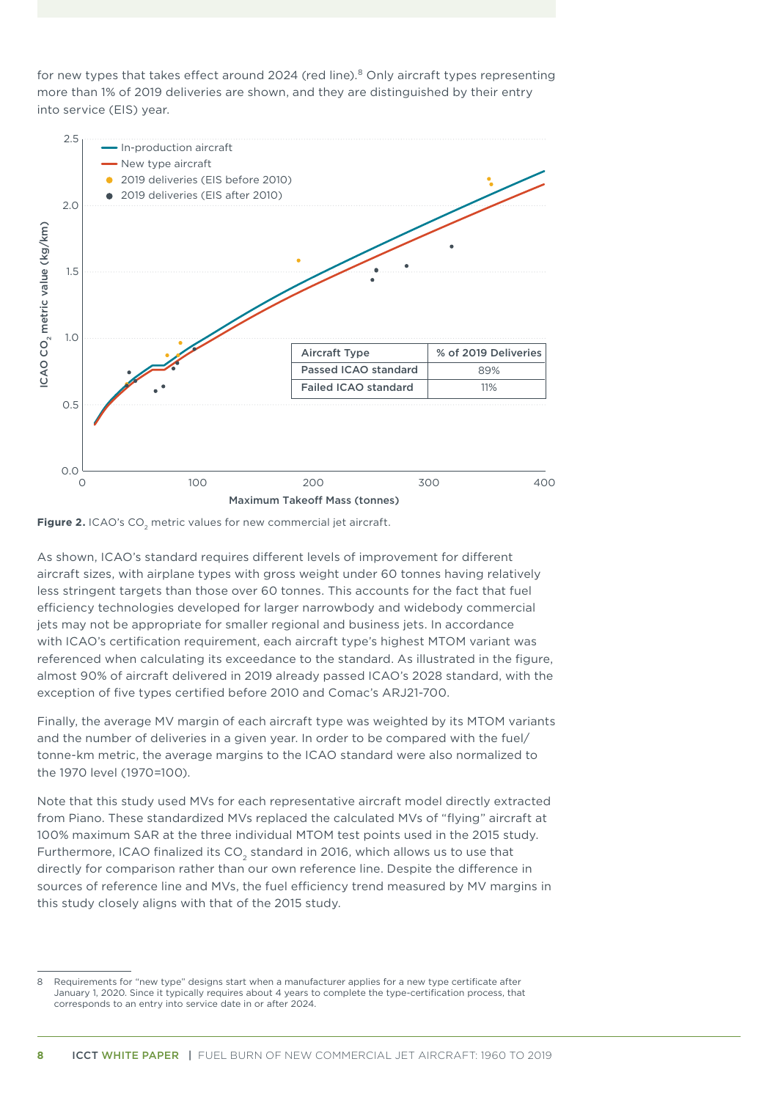<span id="page-13-0"></span>for new types that takes effect around 2024 (red line).<sup>8</sup> Only aircraft types representing more than 1% of 2019 deliveries are shown, and they are distinguished by their entry into service (EIS) year.



**Figure 2.** ICAO's CO<sub>2</sub> metric values for new commercial jet aircraft.

As shown, ICAO's standard requires different levels of improvement for different aircraft sizes, with airplane types with gross weight under 60 tonnes having relatively less stringent targets than those over 60 tonnes. This accounts for the fact that fuel efficiency technologies developed for larger narrowbody and widebody commercial jets may not be appropriate for smaller regional and business jets. In accordance with ICAO's certification requirement, each aircraft type's highest MTOM variant was referenced when calculating its exceedance to the standard. As illustrated in the figure, almost 90% of aircraft delivered in 2019 already passed ICAO's 2028 standard, with the exception of five types certified before 2010 and Comac's ARJ21-700.

Finally, the average MV margin of each aircraft type was weighted by its MTOM variants and the number of deliveries in a given year. In order to be compared with the fuel/ tonne-km metric, the average margins to the ICAO standard were also normalized to the 1970 level (1970=100).

Note that this study used MVs for each representative aircraft model directly extracted from Piano. These standardized MVs replaced the calculated MVs of "flying" aircraft at 100% maximum SAR at the three individual MTOM test points used in the 2015 study. Furthermore, ICAO finalized its CO<sub>2</sub> standard in 2016, which allows us to use that directly for comparison rather than our own reference line. Despite the difference in sources of reference line and MVs, the fuel efficiency trend measured by MV margins in this study closely aligns with that of the 2015 study.

Requirements for "new type" designs start when a manufacturer applies for a new type certificate after January 1, 2020. Since it typically requires about 4 years to complete the type-certification process, that corresponds to an entry into service date in or after 2024.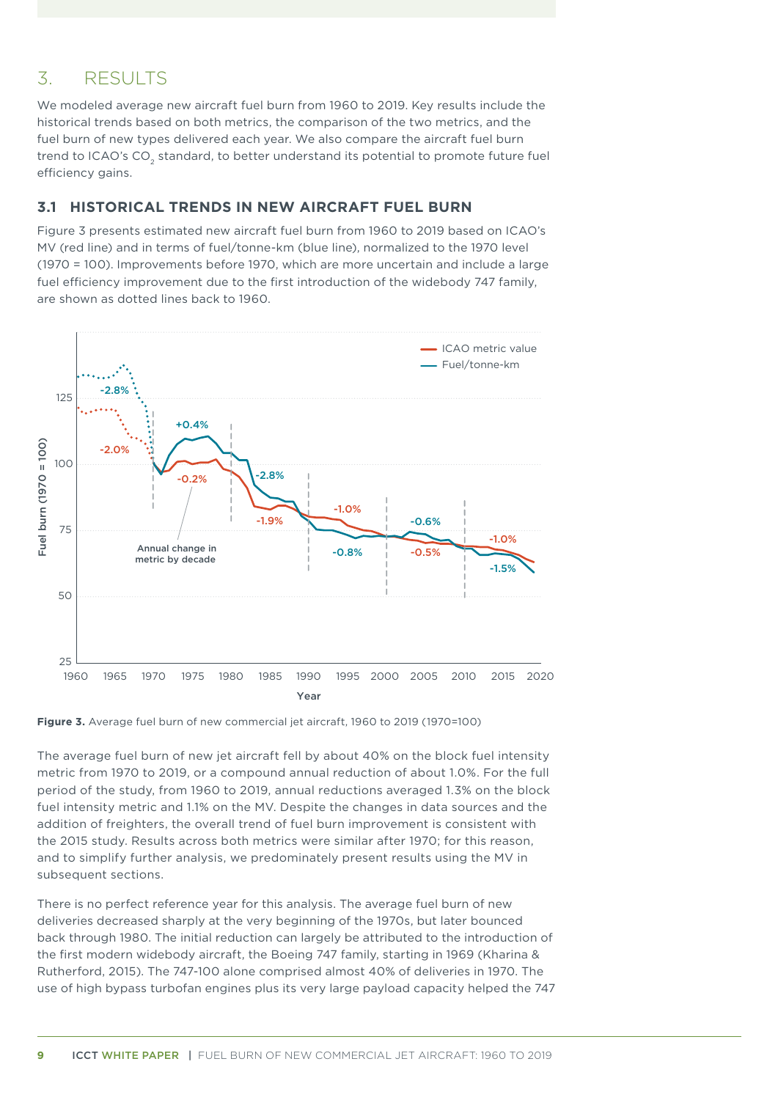# <span id="page-14-0"></span>3. RESULTS

We modeled average new aircraft fuel burn from 1960 to 2019. Key results include the historical trends based on both metrics, the comparison of the two metrics, and the fuel burn of new types delivered each year. We also compare the aircraft fuel burn trend to ICAO's CO<sub>2</sub> standard, to better understand its potential to promote future fuel efficiency gains.

### **3.1 HISTORICAL TRENDS IN NEW AIRCRAFT FUEL BURN**

Figure 3 presents estimated new aircraft fuel burn from 1960 to 2019 based on ICAO's MV (red line) and in terms of fuel/tonne-km (blue line), normalized to the 1970 level (1970 = 100). Improvements before 1970, which are more uncertain and include a large fuel efficiency improvement due to the first introduction of the widebody 747 family, are shown as dotted lines back to 1960.





The average fuel burn of new jet aircraft fell by about 40% on the block fuel intensity metric from 1970 to 2019, or a compound annual reduction of about 1.0%. For the full period of the study, from 1960 to 2019, annual reductions averaged 1.3% on the block fuel intensity metric and 1.1% on the MV. Despite the changes in data sources and the addition of freighters, the overall trend of fuel burn improvement is consistent with the 2015 study. Results across both metrics were similar after 1970; for this reason, and to simplify further analysis, we predominately present results using the MV in subsequent sections.

There is no perfect reference year for this analysis. The average fuel burn of new deliveries decreased sharply at the very beginning of the 1970s, but later bounced back through 1980. The initial reduction can largely be attributed to the introduction of the first modern widebody aircraft, the Boeing 747 family, starting in 1969 (Kharina & Rutherford, 2015). The 747-100 alone comprised almost 40% of deliveries in 1970. The use of high bypass turbofan engines plus its very large payload capacity helped the 747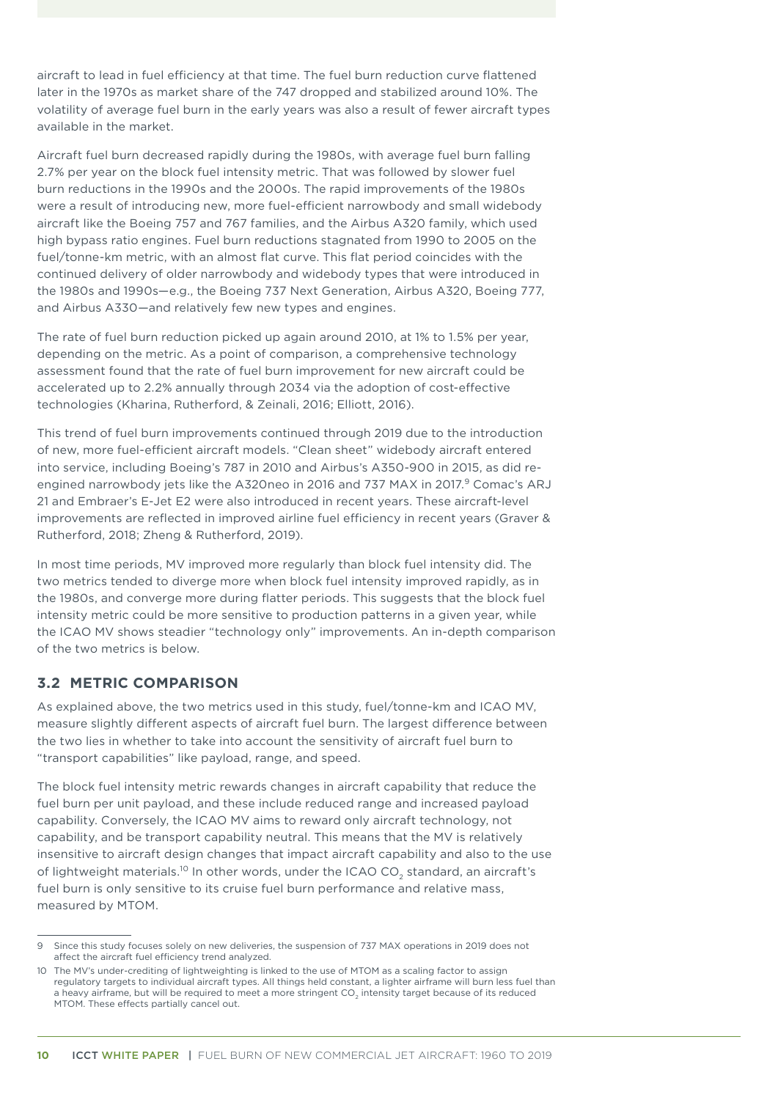<span id="page-15-0"></span>aircraft to lead in fuel efficiency at that time. The fuel burn reduction curve flattened later in the 1970s as market share of the 747 dropped and stabilized around 10%. The volatility of average fuel burn in the early years was also a result of fewer aircraft types available in the market.

Aircraft fuel burn decreased rapidly during the 1980s, with average fuel burn falling 2.7% per year on the block fuel intensity metric. That was followed by slower fuel burn reductions in the 1990s and the 2000s. The rapid improvements of the 1980s were a result of introducing new, more fuel-efficient narrowbody and small widebody aircraft like the Boeing 757 and 767 families, and the Airbus A320 family, which used high bypass ratio engines. Fuel burn reductions stagnated from 1990 to 2005 on the fuel/tonne-km metric, with an almost flat curve. This flat period coincides with the continued delivery of older narrowbody and widebody types that were introduced in the 1980s and 1990s—e.g., the Boeing 737 Next Generation, Airbus A320, Boeing 777, and Airbus A330—and relatively few new types and engines.

The rate of fuel burn reduction picked up again around 2010, at 1% to 1.5% per year, depending on the metric. As a point of comparison, a comprehensive technology assessment found that the rate of fuel burn improvement for new aircraft could be accelerated up to 2.2% annually through 2034 via the adoption of cost-effective technologies (Kharina, Rutherford, & Zeinali, 2016; Elliott, 2016).

This trend of fuel burn improvements continued through 2019 due to the introduction of new, more fuel-efficient aircraft models. "Clean sheet" widebody aircraft entered into service, including Boeing's 787 in 2010 and Airbus's A350-900 in 2015, as did reengined narrowbody jets like the A320neo in 2016 and 737 MAX in 2017.<sup>9</sup> Comac's ARJ 21 and Embraer's E-Jet E2 were also introduced in recent years. These aircraft-level improvements are reflected in improved airline fuel efficiency in recent years (Graver & Rutherford, 2018; Zheng & Rutherford, 2019).

In most time periods, MV improved more regularly than block fuel intensity did. The two metrics tended to diverge more when block fuel intensity improved rapidly, as in the 1980s, and converge more during flatter periods. This suggests that the block fuel intensity metric could be more sensitive to production patterns in a given year, while the ICAO MV shows steadier "technology only" improvements. An in-depth comparison of the two metrics is below.

### **3.2 METRIC COMPARISON**

As explained above, the two metrics used in this study, fuel/tonne-km and ICAO MV, measure slightly different aspects of aircraft fuel burn. The largest difference between the two lies in whether to take into account the sensitivity of aircraft fuel burn to "transport capabilities" like payload, range, and speed.

The block fuel intensity metric rewards changes in aircraft capability that reduce the fuel burn per unit payload, and these include reduced range and increased payload capability. Conversely, the ICAO MV aims to reward only aircraft technology, not capability, and be transport capability neutral. This means that the MV is relatively insensitive to aircraft design changes that impact aircraft capability and also to the use of lightweight materials.<sup>10</sup> In other words, under the ICAO CO<sub>2</sub> standard, an aircraft's fuel burn is only sensitive to its cruise fuel burn performance and relative mass, measured by MTOM.

Since this study focuses solely on new deliveries, the suspension of 737 MAX operations in 2019 does not affect the aircraft fuel efficiency trend analyzed.

<sup>10</sup> The MV's under-crediting of lightweighting is linked to the use of MTOM as a scaling factor to assign regulatory targets to individual aircraft types. All things held constant, a lighter airframe will burn less fuel than a heavy airframe, but will be required to meet a more stringent CO<sub>2</sub> intensity target because of its reduced MTOM. These effects partially cancel out.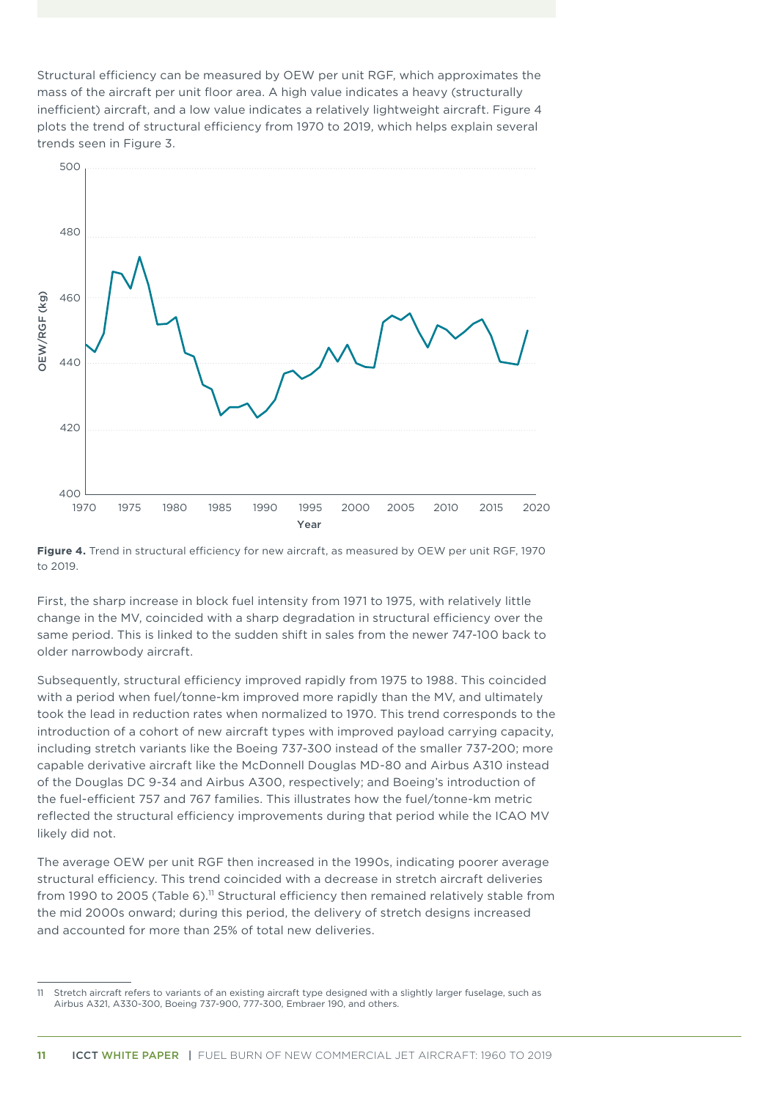<span id="page-16-0"></span>Structural efficiency can be measured by OEW per unit RGF, which approximates the mass of the aircraft per unit floor area. A high value indicates a heavy (structurally inefficient) aircraft, and a low value indicates a relatively lightweight aircraft. Figure 4 plots the trend of structural efficiency from 1970 to 2019, which helps explain several trends seen in Figure 3.



**Figure 4.** Trend in structural efficiency for new aircraft, as measured by OEW per unit RGF, 1970 to 2019.

First, the sharp increase in block fuel intensity from 1971 to 1975, with relatively little change in the MV, coincided with a sharp degradation in structural efficiency over the same period. This is linked to the sudden shift in sales from the newer 747-100 back to older narrowbody aircraft.

Subsequently, structural efficiency improved rapidly from 1975 to 1988. This coincided with a period when fuel/tonne-km improved more rapidly than the MV, and ultimately took the lead in reduction rates when normalized to 1970. This trend corresponds to the introduction of a cohort of new aircraft types with improved payload carrying capacity, including stretch variants like the Boeing 737-300 instead of the smaller 737-200; more capable derivative aircraft like the McDonnell Douglas MD-80 and Airbus A310 instead of the Douglas DC 9-34 and Airbus A300, respectively; and Boeing's introduction of the fuel-efficient 757 and 767 families. This illustrates how the fuel/tonne-km metric reflected the structural efficiency improvements during that period while the ICAO MV likely did not.

The average OEW per unit RGF then increased in the 1990s, indicating poorer average structural efficiency. This trend coincided with a decrease in stretch aircraft deliveries from 1990 to 2005 (Table 6).<sup>11</sup> Structural efficiency then remained relatively stable from the mid 2000s onward; during this period, the delivery of stretch designs increased and accounted for more than 25% of total new deliveries.

<sup>11</sup> Stretch aircraft refers to variants of an existing aircraft type designed with a slightly larger fuselage, such as Airbus A321, A330-300, Boeing 737-900, 777-300, Embraer 190, and others.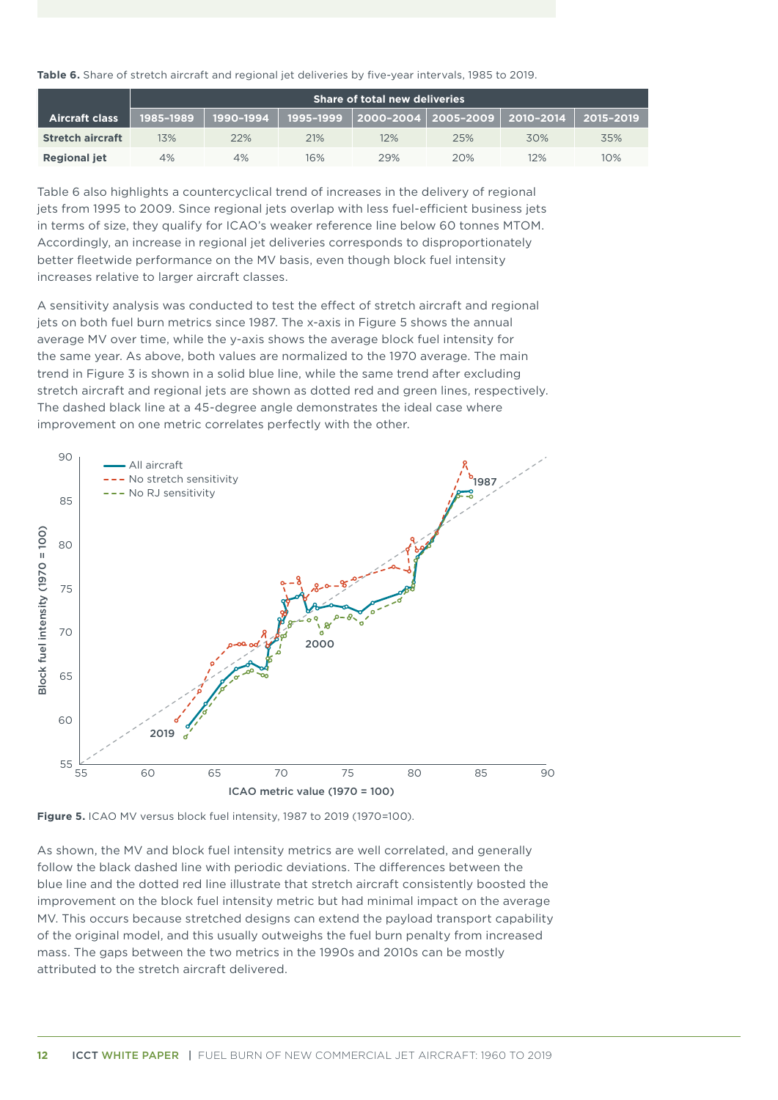<span id="page-17-0"></span>

| Table 6. Share of stretch aircraft and regional jet deliveries by five-year intervals, 1985 to 2019. |  |  |
|------------------------------------------------------------------------------------------------------|--|--|
|------------------------------------------------------------------------------------------------------|--|--|

|                         | <b>Share of total new deliveries</b> |           |     |                                             |     |     |           |
|-------------------------|--------------------------------------|-----------|-----|---------------------------------------------|-----|-----|-----------|
| <b>Aircraft class</b>   | 1985-1989                            | 1990-1994 |     | 1995-1999 │2000-2004│2005-2009│ 2010-2014 │ |     |     | 2015-2019 |
| <b>Stretch aircraft</b> | 13%                                  | 22%       | 21% | 12%                                         | 25% | 30% | 35%       |
| <b>Regional jet</b>     | 4%                                   | 4%        | 16% | 29%                                         | 20% | 12% | 10%       |

Table 6 also highlights a countercyclical trend of increases in the delivery of regional jets from 1995 to 2009. Since regional jets overlap with less fuel-efficient business jets in terms of size, they qualify for ICAO's weaker reference line below 60 tonnes MTOM. Accordingly, an increase in regional jet deliveries corresponds to disproportionately better fleetwide performance on the MV basis, even though block fuel intensity increases relative to larger aircraft classes.

A sensitivity analysis was conducted to test the effect of stretch aircraft and regional jets on both fuel burn metrics since 1987. The x-axis in Figure 5 shows the annual average MV over time, while the y-axis shows the average block fuel intensity for the same year. As above, both values are normalized to the 1970 average. The main trend in Figure 3 is shown in a solid blue line, while the same trend after excluding stretch aircraft and regional jets are shown as dotted red and green lines, respectively. The dashed black line at a 45-degree angle demonstrates the ideal case where improvement on one metric correlates perfectly with the other.





As shown, the MV and block fuel intensity metrics are well correlated, and generally follow the black dashed line with periodic deviations. The differences between the blue line and the dotted red line illustrate that stretch aircraft consistently boosted the improvement on the block fuel intensity metric but had minimal impact on the average MV. This occurs because stretched designs can extend the payload transport capability of the original model, and this usually outweighs the fuel burn penalty from increased mass. The gaps between the two metrics in the 1990s and 2010s can be mostly attributed to the stretch aircraft delivered.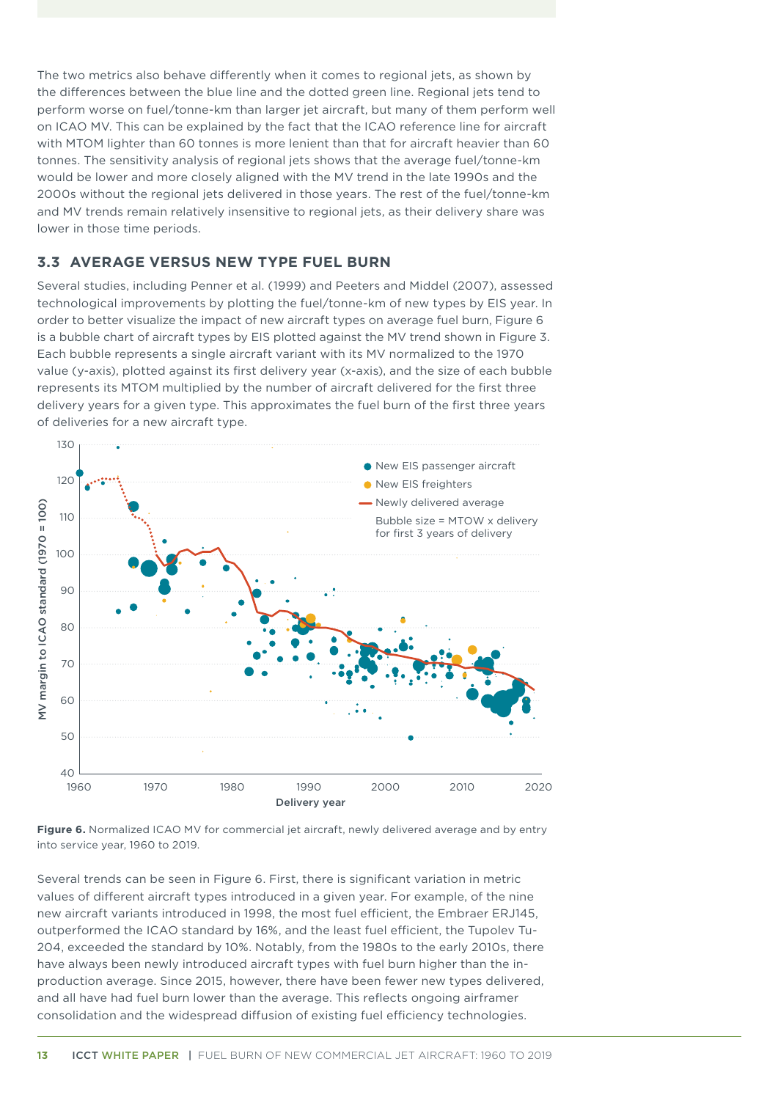<span id="page-18-0"></span>The two metrics also behave differently when it comes to regional jets, as shown by the differences between the blue line and the dotted green line. Regional jets tend to perform worse on fuel/tonne-km than larger jet aircraft, but many of them perform well on ICAO MV. This can be explained by the fact that the ICAO reference line for aircraft with MTOM lighter than 60 tonnes is more lenient than that for aircraft heavier than 60 tonnes. The sensitivity analysis of regional jets shows that the average fuel/tonne-km would be lower and more closely aligned with the MV trend in the late 1990s and the 2000s without the regional jets delivered in those years. The rest of the fuel/tonne-km and MV trends remain relatively insensitive to regional jets, as their delivery share was lower in those time periods.

### **3.3 AVERAGE VERSUS NEW TYPE FUEL BURN**

Several studies, including Penner et al. (1999) and Peeters and Middel (2007), assessed technological improvements by plotting the fuel/tonne-km of new types by EIS year. In order to better visualize the impact of new aircraft types on average fuel burn, Figure 6 is a bubble chart of aircraft types by EIS plotted against the MV trend shown in Figure 3. Each bubble represents a single aircraft variant with its MV normalized to the 1970 value (y-axis), plotted against its first delivery year (x-axis), and the size of each bubble represents its MTOM multiplied by the number of aircraft delivered for the first three delivery years for a given type. This approximates the fuel burn of the first three years of deliveries for a new aircraft type.



**Figure 6.** Normalized ICAO MV for commercial jet aircraft, newly delivered average and by entry into service year, 1960 to 2019.

Several trends can be seen in Figure 6. First, there is significant variation in metric values of different aircraft types introduced in a given year. For example, of the nine new aircraft variants introduced in 1998, the most fuel efficient, the Embraer ERJ145, outperformed the ICAO standard by 16%, and the least fuel efficient, the Tupolev Tu-204, exceeded the standard by 10%. Notably, from the 1980s to the early 2010s, there have always been newly introduced aircraft types with fuel burn higher than the inproduction average. Since 2015, however, there have been fewer new types delivered, and all have had fuel burn lower than the average. This reflects ongoing airframer consolidation and the widespread diffusion of existing fuel efficiency technologies.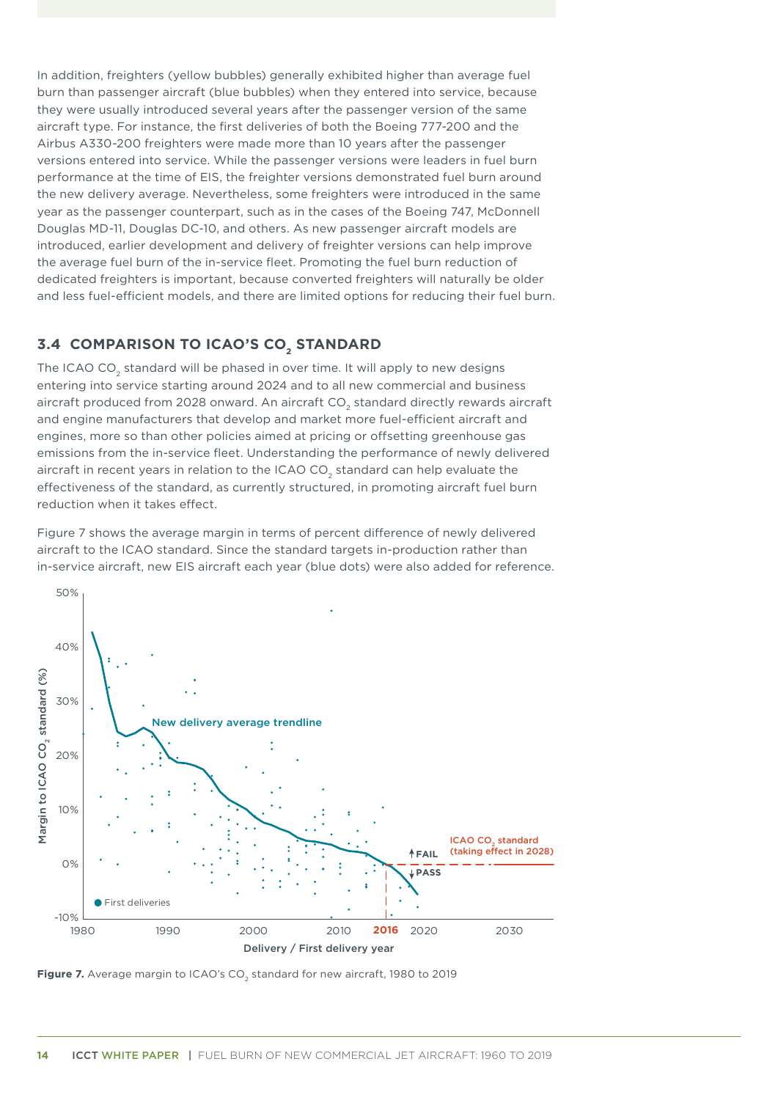<span id="page-19-0"></span>In addition, freighters (yellow bubbles) generally exhibited higher than average fuel burn than passenger aircraft (blue bubbles) when they entered into service, because they were usually introduced several years after the passenger version of the same aircraft type. For instance, the first deliveries of both the Boeing 777-200 and the Airbus A330-200 freighters were made more than 10 years after the passenger versions entered into service. While the passenger versions were leaders in fuel burn performance at the time of EIS, the freighter versions demonstrated fuel burn around the new delivery average. Nevertheless, some freighters were introduced in the same year as the passenger counterpart, such as in the cases of the Boeing 747, McDonnell Douglas MD-11, Douglas DC-10, and others. As new passenger aircraft models are introduced, earlier development and delivery of freighter versions can help improve the average fuel burn of the in-service fleet. Promoting the fuel burn reduction of dedicated freighters is important, because converted freighters will naturally be older and less fuel-efficient models, and there are limited options for reducing their fuel burn.

### **3.4 COMPARISON TO ICAO'S CO<sub>2</sub> STANDARD**

The ICAO CO<sub>2</sub> standard will be phased in over time. It will apply to new designs entering into service starting around 2024 and to all new commercial and business aircraft produced from 2028 onward. An aircraft CO<sub>2</sub> standard directly rewards aircraft and engine manufacturers that develop and market more fuel-efficient aircraft and engines, more so than other policies aimed at pricing or offsetting greenhouse gas emissions from the in-service fleet. Understanding the performance of newly delivered aircraft in recent years in relation to the ICAO CO<sub>2</sub> standard can help evaluate the effectiveness of the standard, as currently structured, in promoting aircraft fuel burn reduction when it takes effect.

Figure 7 shows the average margin in terms of percent difference of newly delivered aircraft to the ICAO standard. Since the standard targets in-production rather than in-service aircraft, new EIS aircraft each year (blue dots) were also added for reference.



Figure 7. Average margin to ICAO's CO<sub>2</sub> standard for new aircraft, 1980 to 2019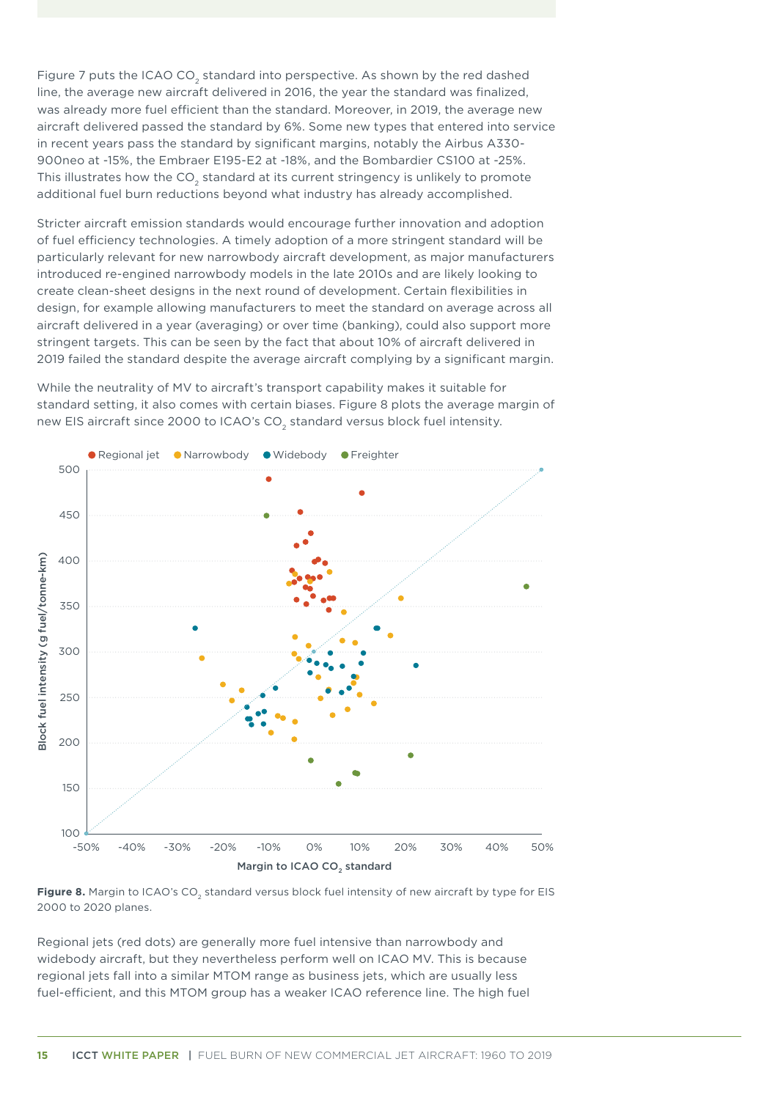<span id="page-20-0"></span>Figure 7 puts the ICAO CO<sub>2</sub> standard into perspective. As shown by the red dashed line, the average new aircraft delivered in 2016, the year the standard was finalized, was already more fuel efficient than the standard. Moreover, in 2019, the average new aircraft delivered passed the standard by 6%. Some new types that entered into service in recent years pass the standard by significant margins, notably the Airbus A330- 900neo at -15%, the Embraer E195-E2 at -18%, and the Bombardier CS100 at -25%. This illustrates how the CO<sub>2</sub> standard at its current stringency is unlikely to promote additional fuel burn reductions beyond what industry has already accomplished.

Stricter aircraft emission standards would encourage further innovation and adoption of fuel efficiency technologies. A timely adoption of a more stringent standard will be particularly relevant for new narrowbody aircraft development, as major manufacturers introduced re-engined narrowbody models in the late 2010s and are likely looking to create clean-sheet designs in the next round of development. Certain flexibilities in design, for example allowing manufacturers to meet the standard on average across all aircraft delivered in a year (averaging) or over time (banking), could also support more stringent targets. This can be seen by the fact that about 10% of aircraft delivered in 2019 failed the standard despite the average aircraft complying by a significant margin.

While the neutrality of MV to aircraft's transport capability makes it suitable for standard setting, it also comes with certain biases. Figure 8 plots the average margin of new EIS aircraft since 2000 to ICAO's CO<sub>2</sub> standard versus block fuel intensity.



Figure 8. Margin to ICAO's CO<sub>2</sub> standard versus block fuel intensity of new aircraft by type for EIS 2000 to 2020 planes.

Regional jets (red dots) are generally more fuel intensive than narrowbody and widebody aircraft, but they nevertheless perform well on ICAO MV. This is because regional jets fall into a similar MTOM range as business jets, which are usually less fuel-efficient, and this MTOM group has a weaker ICAO reference line. The high fuel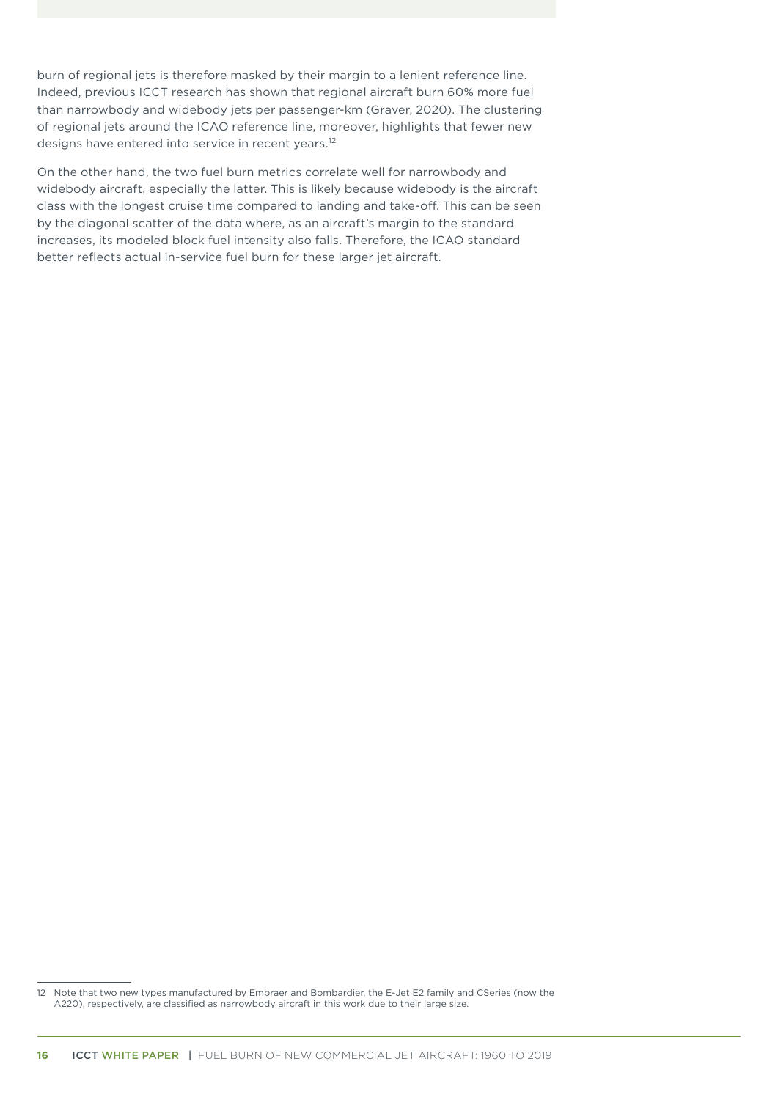burn of regional jets is therefore masked by their margin to a lenient reference line. Indeed, previous ICCT research has shown that regional aircraft burn 60% more fuel than narrowbody and widebody jets per passenger-km (Graver, 2020). The clustering of regional jets around the ICAO reference line, moreover, highlights that fewer new designs have entered into service in recent years.<sup>12</sup>

On the other hand, the two fuel burn metrics correlate well for narrowbody and widebody aircraft, especially the latter. This is likely because widebody is the aircraft class with the longest cruise time compared to landing and take-off. This can be seen by the diagonal scatter of the data where, as an aircraft's margin to the standard increases, its modeled block fuel intensity also falls. Therefore, the ICAO standard better reflects actual in-service fuel burn for these larger jet aircraft.

<sup>12</sup> Note that two new types manufactured by Embraer and Bombardier, the E-Jet E2 family and CSeries (now the A220), respectively, are classified as narrowbody aircraft in this work due to their large size.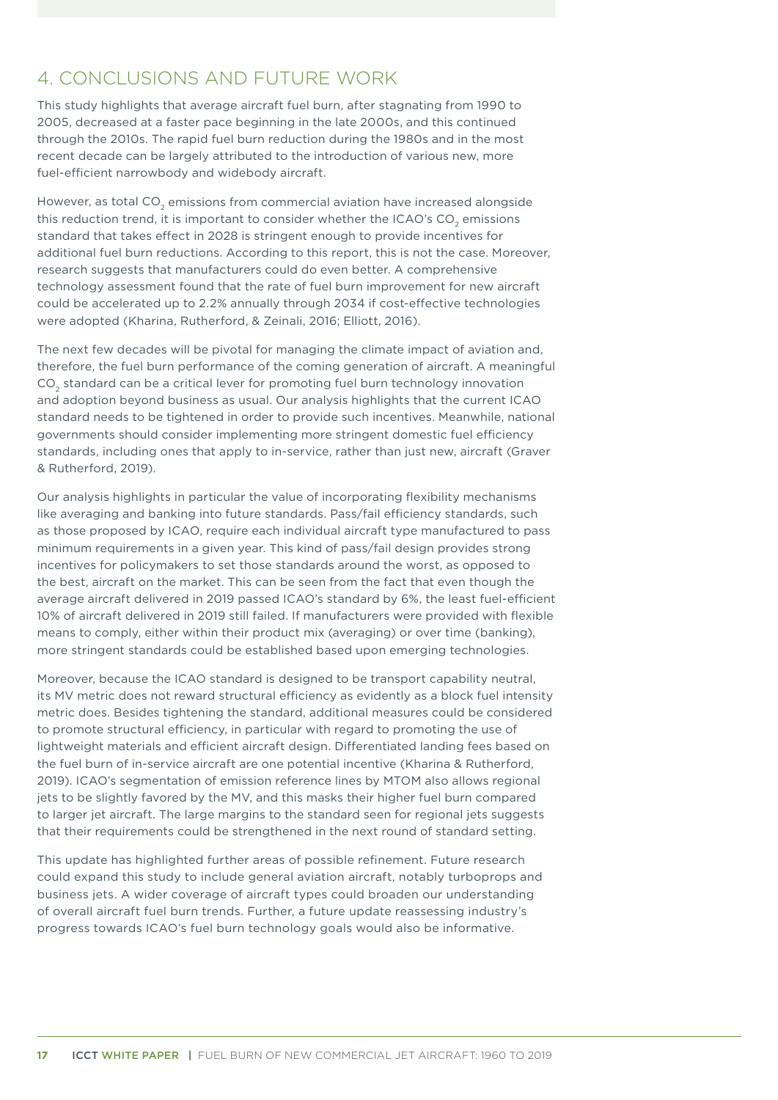# <span id="page-22-0"></span>4. CONCLUSIONS AND FUTURE WORK

This study highlights that average aircraft fuel burn, after stagnating from 1990 to 2005, decreased at a faster pace beginning in the late 2000s, and this continued through the 2010s. The rapid fuel burn reduction during the 1980s and in the most recent decade can be largely attributed to the introduction of various new, more fuel-efficient narrowbody and widebody aircraft.

However, as total CO<sub>2</sub> emissions from commercial aviation have increased alongside this reduction trend, it is important to consider whether the ICAO's CO<sub>2</sub> emissions standard that takes effect in 2028 is stringent enough to provide incentives for additional fuel burn reductions. According to this report, this is not the case. Moreover, research suggests that manufacturers could do even better. A comprehensive technology assessment found that the rate of fuel burn improvement for new aircraft could be accelerated up to 2.2% annually through 2034 if cost-effective technologies were adopted (Kharina, Rutherford, & Zeinali, 2016; Elliott, 2016).

The next few decades will be pivotal for managing the climate impact of aviation and, therefore, the fuel burn performance of the coming generation of aircraft. A meaningful CO<sub>2</sub> standard can be a critical lever for promoting fuel burn technology innovation and adoption beyond business as usual. Our analysis highlights that the current ICAO standard needs to be tightened in order to provide such incentives. Meanwhile, national governments should consider implementing more stringent domestic fuel efficiency standards, including ones that apply to in-service, rather than just new, aircraft (Graver & Rutherford, 2019).

Our analysis highlights in particular the value of incorporating flexibility mechanisms like averaging and banking into future standards. Pass/fail efficiency standards, such as those proposed by ICAO, require each individual aircraft type manufactured to pass minimum requirements in a given year. This kind of pass/fail design provides strong incentives for policymakers to set those standards around the worst, as opposed to the best, aircraft on the market. This can be seen from the fact that even though the average aircraft delivered in 2019 passed ICAO's standard by 6%, the least fuel-efficient 10% of aircraft delivered in 2019 still failed. If manufacturers were provided with flexible means to comply, either within their product mix (averaging) or over time (banking), more stringent standards could be established based upon emerging technologies.

Moreover, because the ICAO standard is designed to be transport capability neutral, its MV metric does not reward structural efficiency as evidently as a block fuel intensity metric does. Besides tightening the standard, additional measures could be considered to promote structural efficiency, in particular with regard to promoting the use of lightweight materials and efficient aircraft design. Differentiated landing fees based on the fuel burn of in-service aircraft are one potential incentive (Kharina & Rutherford, 2019). ICAO's segmentation of emission reference lines by MTOM also allows regional jets to be slightly favored by the MV, and this masks their higher fuel burn compared to larger jet aircraft. The large margins to the standard seen for regional jets suggests that their requirements could be strengthened in the next round of standard setting.

This update has highlighted further areas of possible refinement. Future research could expand this study to include general aviation aircraft, notably turboprops and business jets. A wider coverage of aircraft types could broaden our understanding of overall aircraft fuel burn trends. Further, a future update reassessing industry's progress towards ICAO's fuel burn technology goals would also be informative.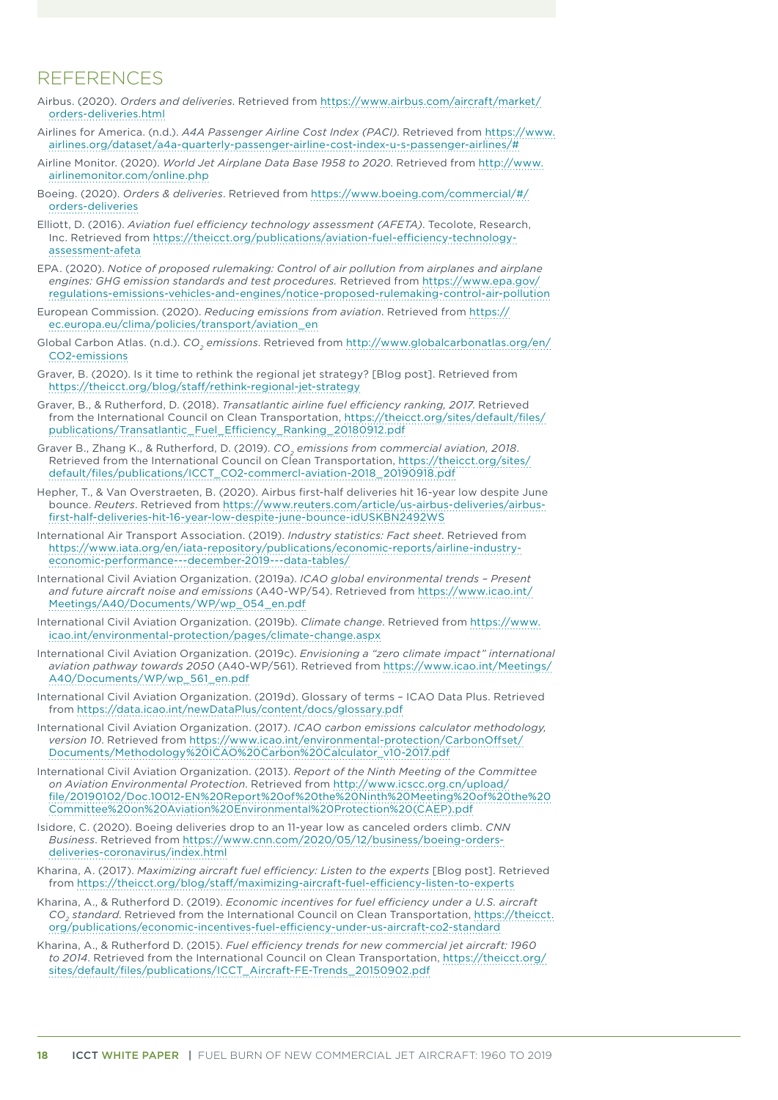### <span id="page-23-0"></span>**REFERENCES**

- Airbus. (2020). *Orders and deliveries*. Retrieved from [https://www.airbus.com/aircraft/market/](https://www.airbus.com/aircraft/market/orders-deliveries.html) [orders-deliveries.html](https://www.airbus.com/aircraft/market/orders-deliveries.html)
- Airlines for America. (n.d.). *A4A Passenger Airline Cost Index (PACI)*. Retrieved from [https://www.](https://www.airlines.org/dataset/a4a-quarterly-passenger-airline-cost-index-u-s-passenger-airlines/) [airlines.org/dataset/a4a-quarterly-passenger-airline-cost-index-u-s-passenger-airlines/#](https://www.airlines.org/dataset/a4a-quarterly-passenger-airline-cost-index-u-s-passenger-airlines/)
- Airline Monitor. (2020). *World Jet Airplane Data Base 1958 to 2020*. Retrieved from [http://www.](http://www.airlinemonitor.com/online.php) [airlinemonitor.com/online.php](http://www.airlinemonitor.com/online.php)
- Boeing. (2020). *Orders & deliveries*. Retrieved from [https://www.boeing.com/commercial/#/](https://www.boeing.com/commercial/#/orders-deliveries) [orders-deliveries](https://www.boeing.com/commercial/#/orders-deliveries)
- Elliott, D. (2016). *Aviation fuel efficiency technology assessment (AFETA)*. Tecolote, Research, Inc. Retrieved from [https://theicct.org/publications/aviation-fuel-efficiency-technology](https://theicct.org/publications/aviation-fuel-efficiency-technology-assessment-afeta)[assessment-afeta](https://theicct.org/publications/aviation-fuel-efficiency-technology-assessment-afeta)
- EPA. (2020). *Notice of proposed rulemaking: Control of air pollution from airplanes and airplane engines: GHG emission standards and test procedures.* Retrieved from [https://www.epa.gov/](https://www.epa.gov/regulations-emissions-vehicles-and-engines/notice-proposed-rulemaking-control-air-pollution) [regulations-emissions-vehicles-and-engines/notice-proposed-rulemaking-control-air-pollution](https://www.epa.gov/regulations-emissions-vehicles-and-engines/notice-proposed-rulemaking-control-air-pollution)
- European Commission. (2020). *Reducing emissions from aviation*. Retrieved from [https://](https://ec.europa.eu/clima/policies/transport/aviation_en) [ec.europa.eu/clima/policies/transport/aviation\\_en](https://ec.europa.eu/clima/policies/transport/aviation_en)
- Global Carbon Atlas. (n.d.). *CO<sub>2</sub> emissions*. Retrieved from [http://www.globalcarbonatlas.org/en/](http://www.globalcarbonatlas.org/en/CO2-emissions) [CO2-emissions](http://www.globalcarbonatlas.org/en/CO2-emissions)
- Graver, B. (2020). Is it time to rethink the regional jet strategy? [Blog post]. Retrieved from <https://theicct.org/blog/staff/rethink-regional-jet-strategy>
- Graver, B., & Rutherford, D. (2018). *Transatlantic airline fuel efficiency ranking, 2017*. Retrieved from the International Council on Clean Transportation, [https://theicct.org/sites/default/files/](https://theicct.org/sites/default/files/publications/Transatlantic_Fuel_Efficiency_Ranking_20180912.pdf) [publications/Transatlantic\\_Fuel\\_Efficiency\\_Ranking\\_20180912.pdf](https://theicct.org/sites/default/files/publications/Transatlantic_Fuel_Efficiency_Ranking_20180912.pdf)
- Graver B., Zhang K., & Rutherford, D. (2019). *CO<sub>2</sub> emissions from commercial aviation, 2018*. Retrieved from the International Council on Clean Transportation, [https://theicct.org/sites/](https://theicct.org/sites/default/files/publications/ICCT_CO2-commercl-aviation-2018_20190918.pdf) [default/files/publications/ICCT\\_CO2-commercl-aviation-2018\\_20190918.pdf](https://theicct.org/sites/default/files/publications/ICCT_CO2-commercl-aviation-2018_20190918.pdf)
- Hepher, T., & Van Overstraeten, B. (2020). Airbus first-half deliveries hit 16-year low despite June bounce. *Reuters*. Retrieved from [https://www.reuters.com/article/us-airbus-deliveries/airbus](https://www.reuters.com/article/us-airbus-deliveries/airbus-first-half-deliveries-hit-16-year-low-despite-june-bounce-idUSKBN2492WS)[first-half-deliveries-hit-16-year-low-despite-june-bounce-idUSKBN2492WS](https://www.reuters.com/article/us-airbus-deliveries/airbus-first-half-deliveries-hit-16-year-low-despite-june-bounce-idUSKBN2492WS)
- International Air Transport Association. (2019). *Industry statistics: Fact sheet*. Retrieved from [https://www.iata.org/en/iata-repository/publications/economic-reports/airline-industry](https://www.iata.org/en/iata-repository/publications/economic-reports/airline-industry-economic-performance---december-2019---data-tables/)[economic-performance---december-2019---data-tables/](https://www.iata.org/en/iata-repository/publications/economic-reports/airline-industry-economic-performance---december-2019---data-tables/)
- International Civil Aviation Organization. (2019a). *ICAO global environmental trends Present and future aircraft noise and emissions* (A40-WP/54). Retrieved from [https://www.icao.int/](https://www.icao.int/Meetings/A40/Documents/WP/wp_054_en.pdf) [Meetings/A40/Documents/WP/wp\\_054\\_en.pdf](https://www.icao.int/Meetings/A40/Documents/WP/wp_054_en.pdf)
- International Civil Aviation Organization. (2019b). *Climate change*. Retrieved from [https://www.](https://www.icao.int/environmental-protection/pages/climate-change.aspx) [icao.int/environmental-protection/pages/climate-change.aspx](https://www.icao.int/environmental-protection/pages/climate-change.aspx)
- International Civil Aviation Organization. (2019c). *Envisioning a "zero climate impact" international aviation pathway towards 2050* (A40-WP/561). Retrieved from [https://www.icao.int/Meetings/](https://www.icao.int/Meetings/A40/Documents/WP/wp_561_en.pdf) [A40/Documents/WP/wp\\_561\\_en.pdf](https://www.icao.int/Meetings/A40/Documents/WP/wp_561_en.pdf)
- International Civil Aviation Organization. (2019d). Glossary of terms ICAO Data Plus. Retrieved from <https://data.icao.int/newDataPlus/content/docs/glossary.pdf>
- International Civil Aviation Organization. (2017). *ICAO carbon emissions calculator methodology, version 10*. Retrieved from [https://www.icao.int/environmental-protection/CarbonOffset/](https://www.icao.int/environmental-protection/CarbonOffset/Documents/Methodology ICAO Carbon Calculator_v10-2017.pdf) [Documents/Methodology%20ICAO%20Carbon%20Calculator\\_v10-2017.pdf](https://www.icao.int/environmental-protection/CarbonOffset/Documents/Methodology ICAO Carbon Calculator_v10-2017.pdf)
- International Civil Aviation Organization. (2013). *Report of the Ninth Meeting of the Committee on Aviation Environmental Protection*. Retrieved from [http://www.icscc.org.cn/upload/](http://www.icscc.org.cn/upload/file/20190102/Doc.10012-EN Report of the Ninth Meeting of the Committee on Aviation Environmental Protection (CAEP).pdf) [file/20190102/Doc.10012-EN%20Report%20of%20the%20Ninth%20Meeting%20of%20the%20](http://www.icscc.org.cn/upload/file/20190102/Doc.10012-EN Report of the Ninth Meeting of the Committee on Aviation Environmental Protection (CAEP).pdf) [Committee%20on%20Aviation%20Environmental%20Protection%20\(CAEP\).pdf](http://www.icscc.org.cn/upload/file/20190102/Doc.10012-EN Report of the Ninth Meeting of the Committee on Aviation Environmental Protection (CAEP).pdf)
- Isidore, C. (2020). Boeing deliveries drop to an 11-year low as canceled orders climb. *CNN Business*. Retrieved from [https://www.cnn.com/2020/05/12/business/boeing-orders](https://www.cnn.com/2020/05/12/business/boeing-orders-deliveries-coronavirus/index.html)[deliveries-coronavirus/index.html](https://www.cnn.com/2020/05/12/business/boeing-orders-deliveries-coronavirus/index.html)
- Kharina, A. (2017). *Maximizing aircraft fuel efficiency: Listen to the experts* [Blog post]. Retrieved from <https://theicct.org/blog/staff/maximizing-aircraft-fuel-efficiency-listen-to-experts>
- Kharina, A., & Rutherford D. (2019). *Economic incentives for fuel efficiency under a U.S. aircraft CO2 standard*. Retrieved from the International Council on Clean Transportation, [https://theicct.](https://theicct.org/publications/economic-incentives-fuel-efficiency-under-us-aircraft-co2-standard) [org/publications/economic-incentives-fuel-efficiency-under-us-aircraft-co2-standard](https://theicct.org/publications/economic-incentives-fuel-efficiency-under-us-aircraft-co2-standard)
- Kharina, A., & Rutherford D. (2015). *Fuel efficiency trends for new commercial jet aircraft: 1960 to 2014*. Retrieved from the International Council on Clean Transportation, [https://theicct.org/](https://theicct.org/sites/default/files/publications/ICCT_Aircraft-FE-Trends_20150902.pdf) [sites/default/files/publications/ICCT\\_Aircraft-FE-Trends\\_20150902.pdf](https://theicct.org/sites/default/files/publications/ICCT_Aircraft-FE-Trends_20150902.pdf)